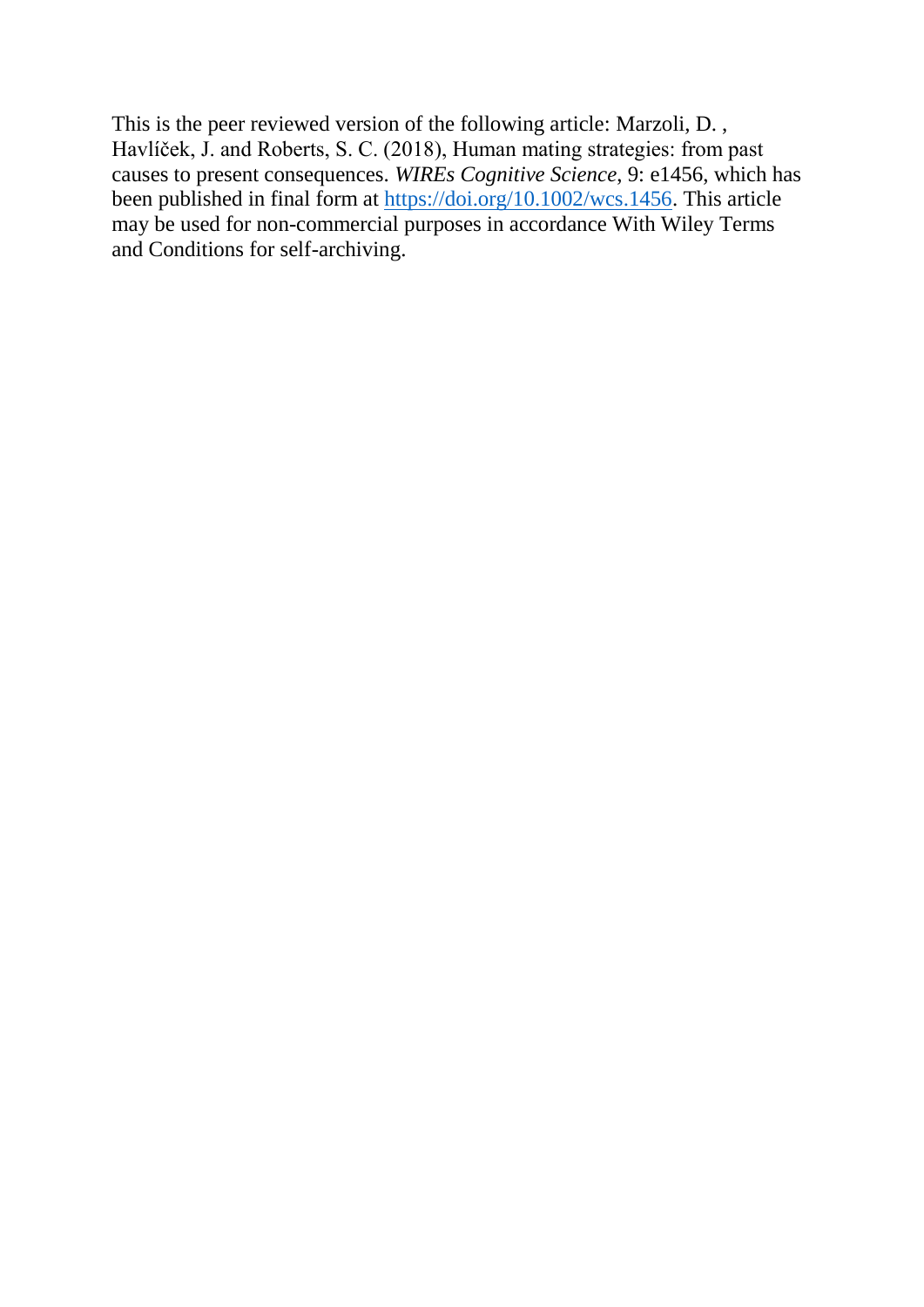This is the peer reviewed version of the following article: Marzoli, D. , Havlíček, J. and Roberts, S. C. (2018), Human mating strategies: from past causes to present consequences. *WIREs Cognitive Science*, 9: e1456, which has been published in final form at [https://doi.org/10.1002/wcs.1456.](https://doi.org/10.1002/wcs.1456) This article may be used for non-commercial purposes in accordance With Wiley Terms and Conditions for self-archiving.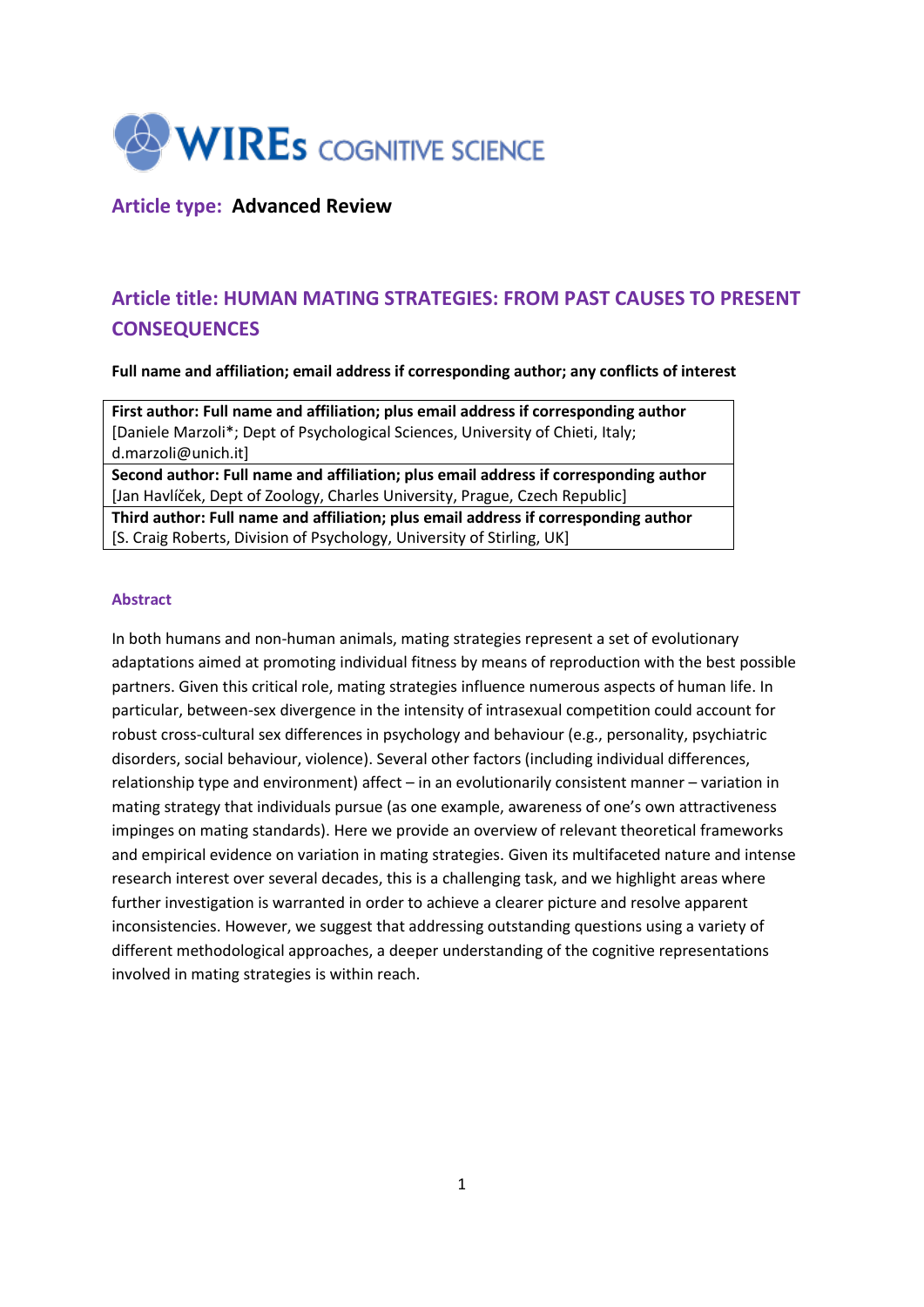

## **Article type: Advanced Review**

# **Article title: HUMAN MATING STRATEGIES: FROM PAST CAUSES TO PRESENT CONSEQUENCES**

**Full name and affiliation; email address if corresponding author; any conflicts of interest**

**First author: Full name and affiliation; plus email address if corresponding author** [Daniele Marzoli\*; Dept of Psychological Sciences, University of Chieti, Italy; d.marzoli@unich.it]

**Second author: Full name and affiliation; plus email address if corresponding author** [Jan Havlíček, Dept of Zoology, Charles University, Prague, Czech Republic]

**Third author: Full name and affiliation; plus email address if corresponding author** [S. Craig Roberts, Division of Psychology, University of Stirling, UK]

## **Abstract**

In both humans and non-human animals, mating strategies represent a set of evolutionary adaptations aimed at promoting individual fitness by means of reproduction with the best possible partners. Given this critical role, mating strategies influence numerous aspects of human life. In particular, between-sex divergence in the intensity of intrasexual competition could account for robust cross-cultural sex differences in psychology and behaviour (e.g., personality, psychiatric disorders, social behaviour, violence). Several other factors (including individual differences, relationship type and environment) affect – in an evolutionarily consistent manner – variation in mating strategy that individuals pursue (as one example, awareness of one's own attractiveness impinges on mating standards). Here we provide an overview of relevant theoretical frameworks and empirical evidence on variation in mating strategies. Given its multifaceted nature and intense research interest over several decades, this is a challenging task, and we highlight areas where further investigation is warranted in order to achieve a clearer picture and resolve apparent inconsistencies. However, we suggest that addressing outstanding questions using a variety of different methodological approaches, a deeper understanding of the cognitive representations involved in mating strategies is within reach.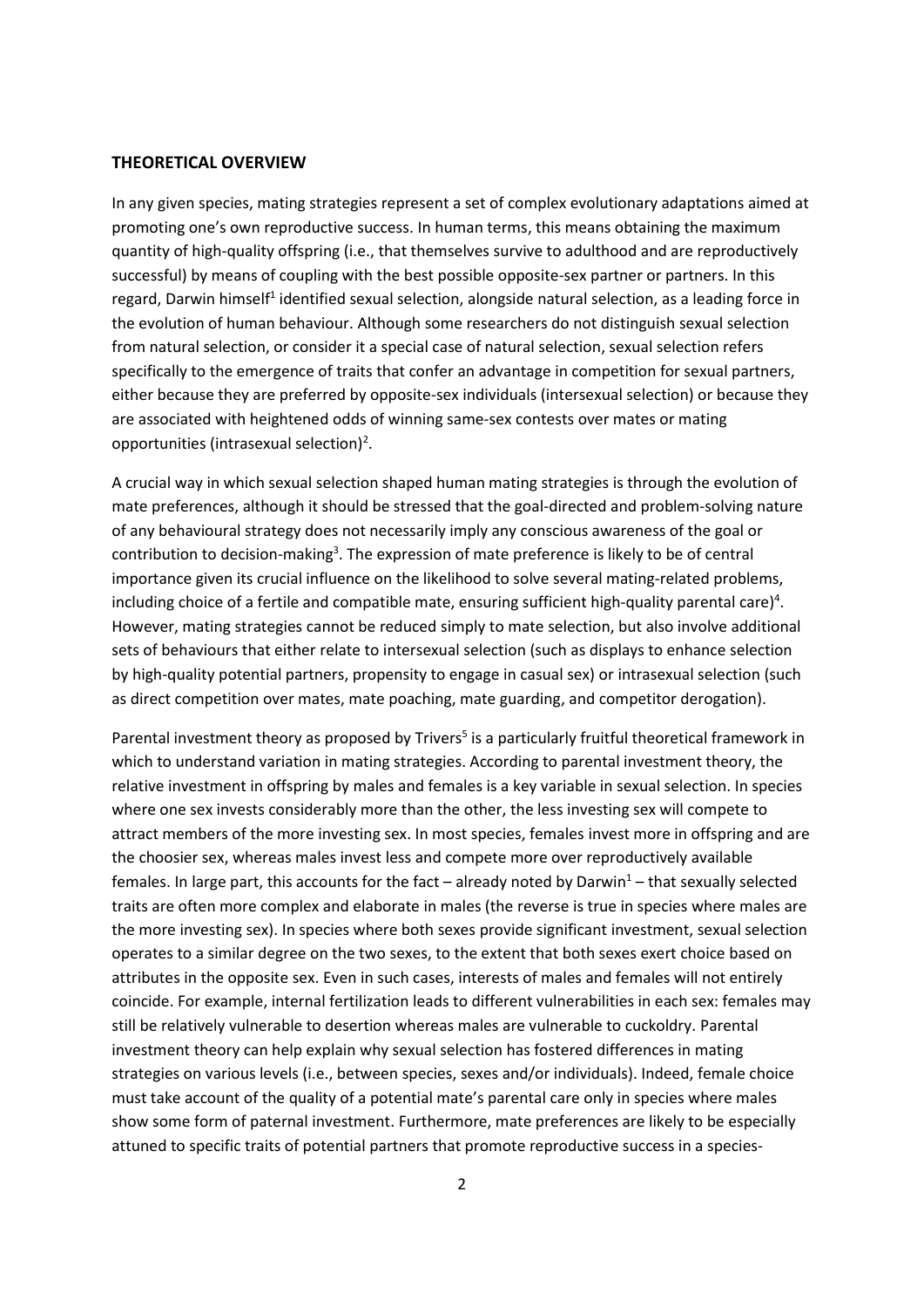## **THEORETICAL OVERVIEW**

In any given species, mating strategies represent a set of complex evolutionary adaptations aimed at promoting one's own reproductive success. In human terms, this means obtaining the maximum quantity of high-quality offspring (i.e., that themselves survive to adulthood and are reproductively successful) by means of coupling with the best possible opposite-sex partner or partners. In this regard, Darwin himself<sup>1</sup> identified sexual selection, alongside natural selection, as a leading force in the evolution of human behaviour. Although some researchers do not distinguish sexual selection from natural selection, or consider it a special case of natural selection, sexual selection refers specifically to the emergence of traits that confer an advantage in competition for sexual partners, either because they are preferred by opposite-sex individuals (intersexual selection) or because they are associated with heightened odds of winning same-sex contests over mates or mating opportunities (intrasexual selection)<sup>2</sup>.

A crucial way in which sexual selection shaped human mating strategies is through the evolution of mate preferences, although it should be stressed that the goal-directed and problem-solving nature of any behavioural strategy does not necessarily imply any conscious awareness of the goal or contribution to decision-making<sup>3</sup>. The expression of mate preference is likely to be of central importance given its crucial influence on the likelihood to solve several mating-related problems, including choice of a fertile and compatible mate, ensuring sufficient high-quality parental care)<sup>4</sup>. However, mating strategies cannot be reduced simply to mate selection, but also involve additional sets of behaviours that either relate to intersexual selection (such as displays to enhance selection by high-quality potential partners, propensity to engage in casual sex) or intrasexual selection (such as direct competition over mates, mate poaching, mate guarding, and competitor derogation).

Parental investment theory as proposed by Trivers<sup>5</sup> is a particularly fruitful theoretical framework in which to understand variation in mating strategies. According to parental investment theory, the relative investment in offspring by males and females is a key variable in sexual selection. In species where one sex invests considerably more than the other, the less investing sex will compete to attract members of the more investing sex. In most species, females invest more in offspring and are the choosier sex, whereas males invest less and compete more over reproductively available females. In large part, this accounts for the fact – already noted by Darwin<sup>1</sup> – that sexually selected traits are often more complex and elaborate in males (the reverse is true in species where males are the more investing sex). In species where both sexes provide significant investment, sexual selection operates to a similar degree on the two sexes, to the extent that both sexes exert choice based on attributes in the opposite sex. Even in such cases, interests of males and females will not entirely coincide. For example, internal fertilization leads to different vulnerabilities in each sex: females may still be relatively vulnerable to desertion whereas males are vulnerable to cuckoldry. Parental investment theory can help explain why sexual selection has fostered differences in mating strategies on various levels (i.e., between species, sexes and/or individuals). Indeed, female choice must take account of the quality of a potential mate's parental care only in species where males show some form of paternal investment. Furthermore, mate preferences are likely to be especially attuned to specific traits of potential partners that promote reproductive success in a species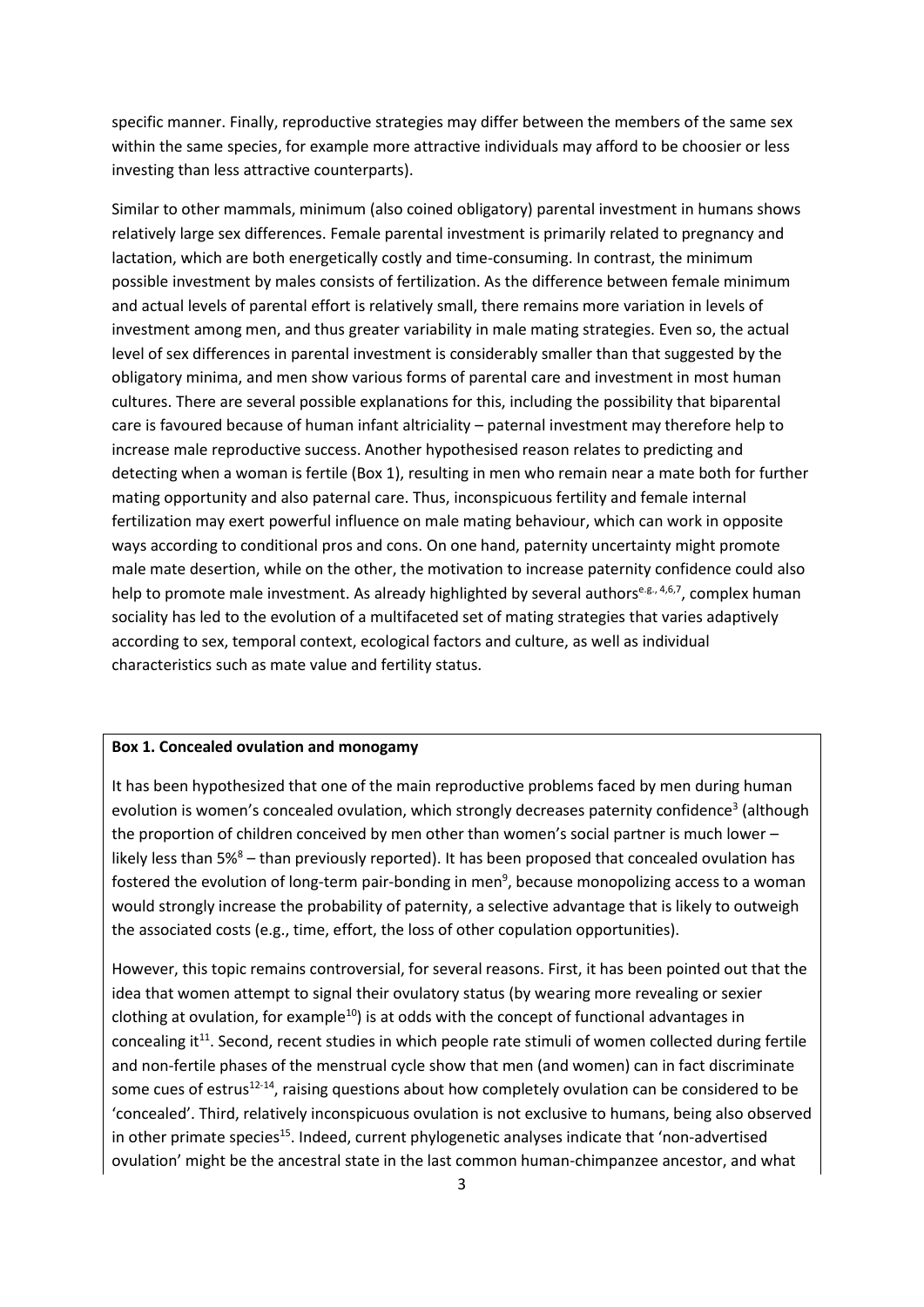specific manner. Finally, reproductive strategies may differ between the members of the same sex within the same species, for example more attractive individuals may afford to be choosier or less investing than less attractive counterparts).

Similar to other mammals, minimum (also coined obligatory) parental investment in humans shows relatively large sex differences. Female parental investment is primarily related to pregnancy and lactation, which are both energetically costly and time-consuming. In contrast, the minimum possible investment by males consists of fertilization. As the difference between female minimum and actual levels of parental effort is relatively small, there remains more variation in levels of investment among men, and thus greater variability in male mating strategies. Even so, the actual level of sex differences in parental investment is considerably smaller than that suggested by the obligatory minima, and men show various forms of parental care and investment in most human cultures. There are several possible explanations for this, including the possibility that biparental care is favoured because of human infant altriciality – paternal investment may therefore help to increase male reproductive success. Another hypothesised reason relates to predicting and detecting when a woman is fertile (Box 1), resulting in men who remain near a mate both for further mating opportunity and also paternal care. Thus, inconspicuous fertility and female internal fertilization may exert powerful influence on male mating behaviour, which can work in opposite ways according to conditional pros and cons. On one hand, paternity uncertainty might promote male mate desertion, while on the other, the motivation to increase paternity confidence could also help to promote male investment. As already highlighted by several authors<sup>e.g., 4,6,7</sup>, complex human sociality has led to the evolution of a multifaceted set of mating strategies that varies adaptively according to sex, temporal context, ecological factors and culture, as well as individual characteristics such as mate value and fertility status.

### **Box 1. Concealed ovulation and monogamy**

It has been hypothesized that one of the main reproductive problems faced by men during human evolution is women's concealed ovulation, which strongly decreases paternity confidence<sup>3</sup> (although the proportion of children conceived by men other than women's social partner is much lower – likely less than  $5\%$ <sup>8</sup> – than previously reported). It has been proposed that concealed ovulation has fostered the evolution of long-term pair-bonding in men<sup>9</sup>, because monopolizing access to a woman would strongly increase the probability of paternity, a selective advantage that is likely to outweigh the associated costs (e.g., time, effort, the loss of other copulation opportunities).

However, this topic remains controversial, for several reasons. First, it has been pointed out that the idea that women attempt to signal their ovulatory status (by wearing more revealing or sexier clothing at ovulation, for example<sup>10</sup>) is at odds with the concept of functional advantages in concealing it<sup>11</sup>. Second, recent studies in which people rate stimuli of women collected during fertile and non-fertile phases of the menstrual cycle show that men (and women) can in fact discriminate some cues of estrus<sup>12-14</sup>, raising questions about how completely ovulation can be considered to be 'concealed'. Third, relatively inconspicuous ovulation is not exclusive to humans, being also observed in other primate species<sup>15</sup>. Indeed, current phylogenetic analyses indicate that 'non-advertised ovulation' might be the ancestral state in the last common human-chimpanzee ancestor, and what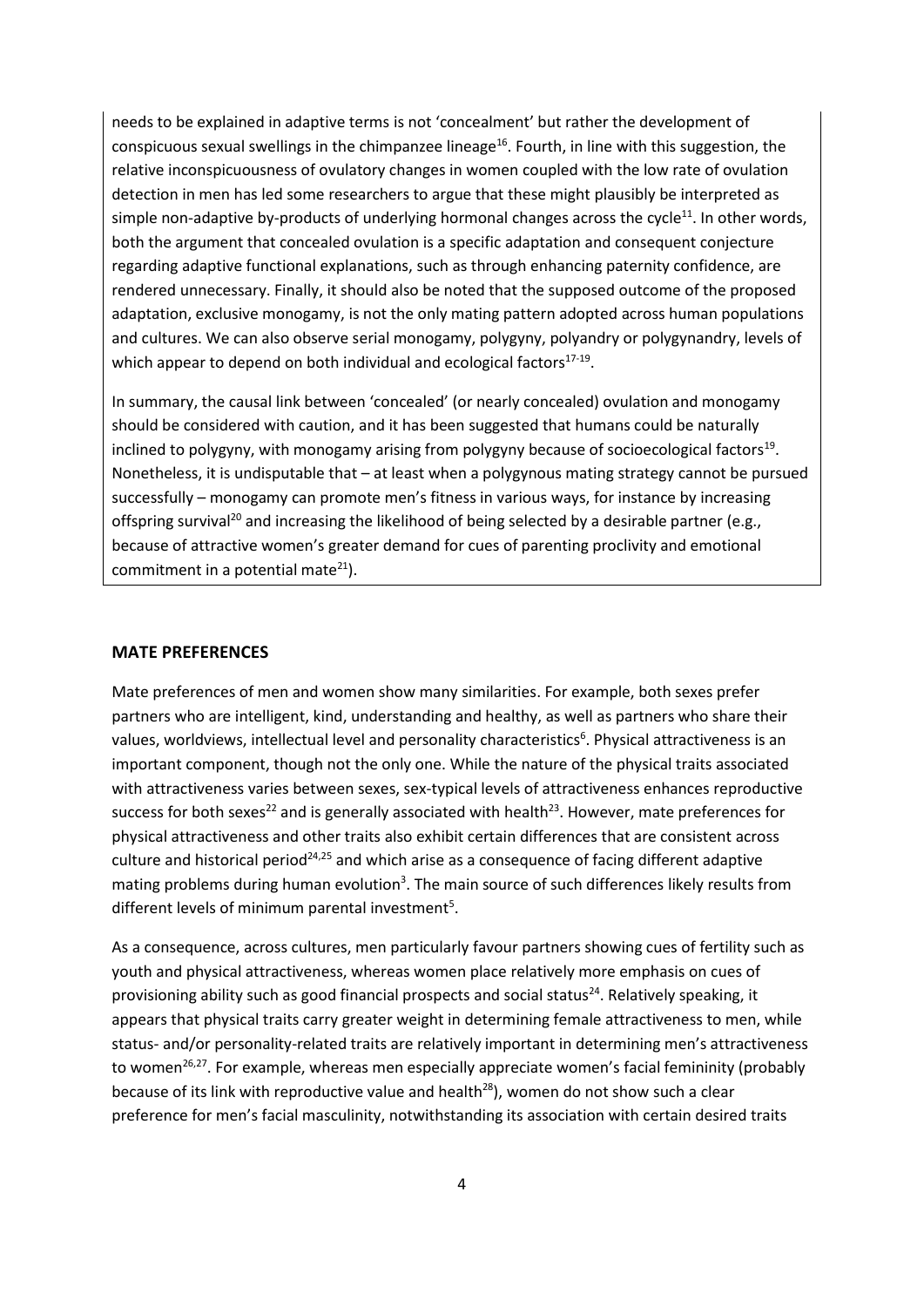needs to be explained in adaptive terms is not 'concealment' but rather the development of conspicuous sexual swellings in the chimpanzee lineage<sup>16</sup>. Fourth, in line with this suggestion, the relative inconspicuousness of ovulatory changes in women coupled with the low rate of ovulation detection in men has led some researchers to argue that these might plausibly be interpreted as simple non-adaptive by-products of underlying hormonal changes across the cycle<sup>11</sup>. In other words, both the argument that concealed ovulation is a specific adaptation and consequent conjecture regarding adaptive functional explanations, such as through enhancing paternity confidence, are rendered unnecessary. Finally, it should also be noted that the supposed outcome of the proposed adaptation, exclusive monogamy, is not the only mating pattern adopted across human populations and cultures. We can also observe serial monogamy, polygyny, polyandry or polygynandry, levels of which appear to depend on both individual and ecological factors $17-19$ .

In summary, the causal link between 'concealed' (or nearly concealed) ovulation and monogamy should be considered with caution, and it has been suggested that humans could be naturally inclined to polygyny, with monogamy arising from polygyny because of socioecological factors<sup>19</sup>. Nonetheless, it is undisputable that – at least when a polygynous mating strategy cannot be pursued successfully – monogamy can promote men's fitness in various ways, for instance by increasing offspring survival<sup>20</sup> and increasing the likelihood of being selected by a desirable partner (e.g., because of attractive women's greater demand for cues of parenting proclivity and emotional commitment in a potential mate $^{21}$ ).

#### **MATE PREFERENCES**

Mate preferences of men and women show many similarities. For example, both sexes prefer partners who are intelligent, kind, understanding and healthy, as well as partners who share their values, worldviews, intellectual level and personality characteristics<sup>6</sup>. Physical attractiveness is an important component, though not the only one. While the nature of the physical traits associated with attractiveness varies between sexes, sex-typical levels of attractiveness enhances reproductive success for both sexes<sup>22</sup> and is generally associated with health<sup>23</sup>. However, mate preferences for physical attractiveness and other traits also exhibit certain differences that are consistent across culture and historical period<sup>24,25</sup> and which arise as a consequence of facing different adaptive mating problems during human evolution<sup>3</sup>. The main source of such differences likely results from different levels of minimum parental investment<sup>5</sup>.

As a consequence, across cultures, men particularly favour partners showing cues of fertility such as youth and physical attractiveness, whereas women place relatively more emphasis on cues of provisioning ability such as good financial prospects and social status<sup>24</sup>. Relatively speaking, it appears that physical traits carry greater weight in determining female attractiveness to men, while status- and/or personality-related traits are relatively important in determining men's attractiveness to women<sup>26,27</sup>. For example, whereas men especially appreciate women's facial femininity (probably because of its link with reproductive value and health $^{28}$ ), women do not show such a clear preference for men's facial masculinity, notwithstanding its association with certain desired traits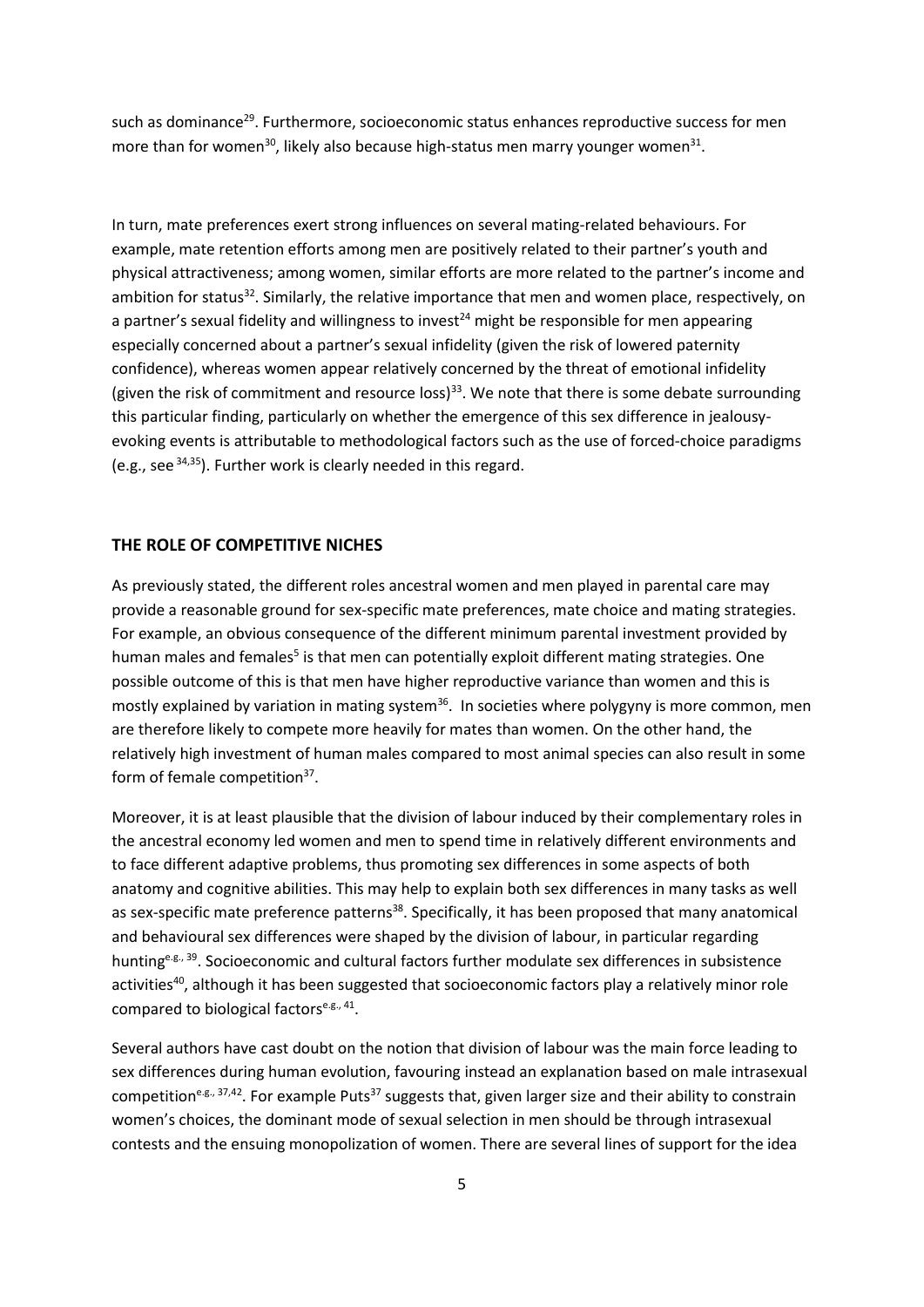such as dominance<sup>29</sup>. Furthermore, socioeconomic status enhances reproductive success for men more than for women<sup>30</sup>, likely also because high-status men marry younger women<sup>31</sup>.

In turn, mate preferences exert strong influences on several mating-related behaviours. For example, mate retention efforts among men are positively related to their partner's youth and physical attractiveness; among women, similar efforts are more related to the partner's income and ambition for status<sup>32</sup>. Similarly, the relative importance that men and women place, respectively, on a partner's sexual fidelity and willingness to invest<sup>24</sup> might be responsible for men appearing especially concerned about a partner's sexual infidelity (given the risk of lowered paternity confidence), whereas women appear relatively concerned by the threat of emotional infidelity (given the risk of commitment and resource loss)<sup>33</sup>. We note that there is some debate surrounding this particular finding, particularly on whether the emergence of this sex difference in jealousyevoking events is attributable to methodological factors such as the use of forced-choice paradigms (e.g., see  $34,35$ ). Further work is clearly needed in this regard.

## **THE ROLE OF COMPETITIVE NICHES**

As previously stated, the different roles ancestral women and men played in parental care may provide a reasonable ground for sex-specific mate preferences, mate choice and mating strategies. For example, an obvious consequence of the different minimum parental investment provided by human males and females<sup>5</sup> is that men can potentially exploit different mating strategies. One possible outcome of this is that men have higher reproductive variance than women and this is mostly explained by variation in mating system<sup>36</sup>. In societies where polygyny is more common, men are therefore likely to compete more heavily for mates than women. On the other hand, the relatively high investment of human males compared to most animal species can also result in some form of female competition<sup>37</sup>.

Moreover, it is at least plausible that the division of labour induced by their complementary roles in the ancestral economy led women and men to spend time in relatively different environments and to face different adaptive problems, thus promoting sex differences in some aspects of both anatomy and cognitive abilities. This may help to explain both sex differences in many tasks as well as sex-specific mate preference patterns<sup>38</sup>. Specifically, it has been proposed that many anatomical and behavioural sex differences were shaped by the division of labour, in particular regarding hunting<sup>e.g., 39</sup>. Socioeconomic and cultural factors further modulate sex differences in subsistence activities<sup>40</sup>, although it has been suggested that socioeconomic factors play a relatively minor role compared to biological factors<sup>e.g., 41</sup>.

Several authors have cast doubt on the notion that division of labour was the main force leading to sex differences during human evolution, favouring instead an explanation based on male intrasexual competition<sup>e.g., 37,42</sup>. For example Puts<sup>37</sup> suggests that, given larger size and their ability to constrain women's choices, the dominant mode of sexual selection in men should be through intrasexual contests and the ensuing monopolization of women. There are several lines of support for the idea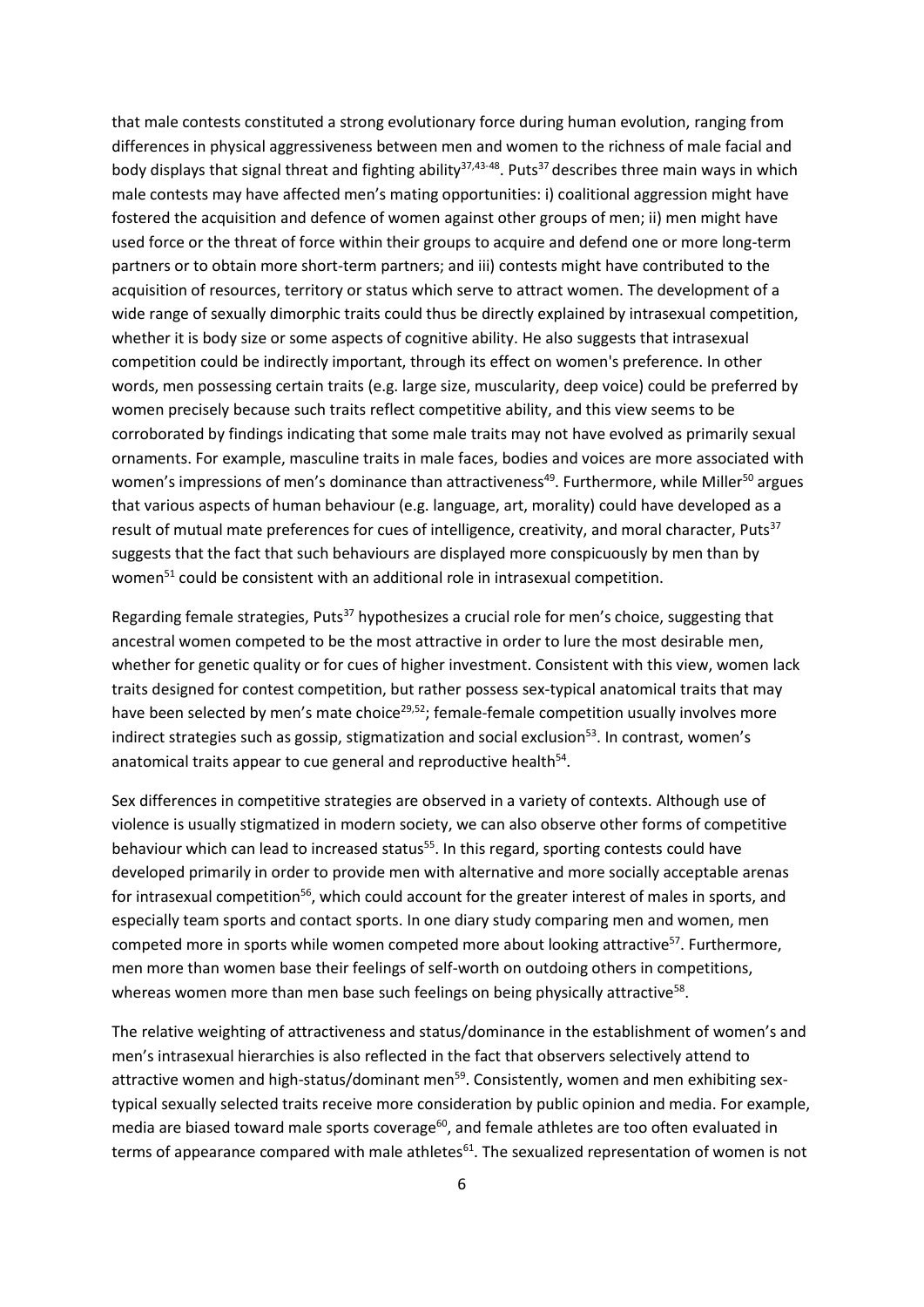that male contests constituted a strong evolutionary force during human evolution, ranging from differences in physical aggressiveness between men and women to the richness of male facial and body displays that signal threat and fighting ability<sup>37,43-48</sup>. Puts<sup>37</sup> describes three main ways in which male contests may have affected men's mating opportunities: i) coalitional aggression might have fostered the acquisition and defence of women against other groups of men; ii) men might have used force or the threat of force within their groups to acquire and defend one or more long-term partners or to obtain more short-term partners; and iii) contests might have contributed to the acquisition of resources, territory or status which serve to attract women. The development of a wide range of sexually dimorphic traits could thus be directly explained by intrasexual competition, whether it is body size or some aspects of cognitive ability. He also suggests that intrasexual competition could be indirectly important, through its effect on women's preference. In other words, men possessing certain traits (e.g. large size, muscularity, deep voice) could be preferred by women precisely because such traits reflect competitive ability, and this view seems to be corroborated by findings indicating that some male traits may not have evolved as primarily sexual ornaments. For example, masculine traits in male faces, bodies and voices are more associated with women's impressions of men's dominance than attractiveness<sup>49</sup>. Furthermore, while Miller<sup>50</sup> argues that various aspects of human behaviour (e.g. language, art, morality) could have developed as a result of mutual mate preferences for cues of intelligence, creativity, and moral character, Puts<sup>37</sup> suggests that the fact that such behaviours are displayed more conspicuously by men than by women<sup>51</sup> could be consistent with an additional role in intrasexual competition.

Regarding female strategies, Puts<sup>37</sup> hypothesizes a crucial role for men's choice, suggesting that ancestral women competed to be the most attractive in order to lure the most desirable men, whether for genetic quality or for cues of higher investment. Consistent with this view, women lack traits designed for contest competition, but rather possess sex-typical anatomical traits that may have been selected by men's mate choice<sup>29,52</sup>; female-female competition usually involves more indirect strategies such as gossip, stigmatization and social exclusion<sup>53</sup>. In contrast, women's anatomical traits appear to cue general and reproductive health<sup>54</sup>.

Sex differences in competitive strategies are observed in a variety of contexts. Although use of violence is usually stigmatized in modern society, we can also observe other forms of competitive behaviour which can lead to increased status<sup>55</sup>. In this regard, sporting contests could have developed primarily in order to provide men with alternative and more socially acceptable arenas for intrasexual competition<sup>56</sup>, which could account for the greater interest of males in sports, and especially team sports and contact sports. In one diary study comparing men and women, men competed more in sports while women competed more about looking attractive<sup>57</sup>. Furthermore, men more than women base their feelings of self-worth on outdoing others in competitions, whereas women more than men base such feelings on being physically attractive<sup>58</sup>.

The relative weighting of attractiveness and status/dominance in the establishment of women's and men's intrasexual hierarchies is also reflected in the fact that observers selectively attend to attractive women and high-status/dominant men<sup>59</sup>. Consistently, women and men exhibiting sextypical sexually selected traits receive more consideration by public opinion and media. For example, media are biased toward male sports coverage $^{60}$ , and female athletes are too often evaluated in terms of appearance compared with male athletes<sup>61</sup>. The sexualized representation of women is not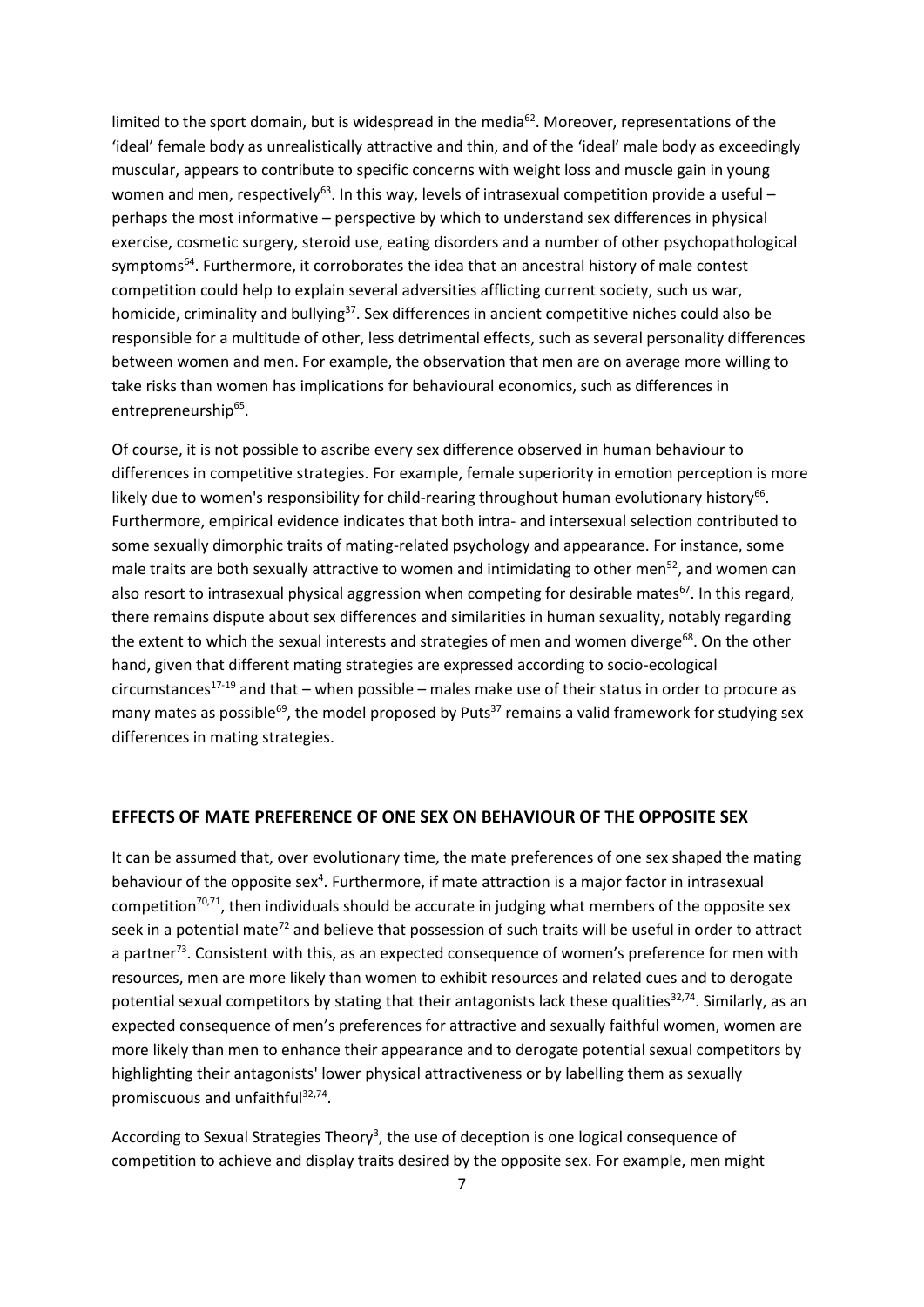limited to the sport domain, but is widespread in the media<sup>62</sup>. Moreover, representations of the 'ideal' female body as unrealistically attractive and thin, and of the 'ideal' male body as exceedingly muscular, appears to contribute to specific concerns with weight loss and muscle gain in young women and men, respectively<sup>63</sup>. In this way, levels of intrasexual competition provide a useful perhaps the most informative – perspective by which to understand sex differences in physical exercise, cosmetic surgery, steroid use, eating disorders and a number of other psychopathological symptoms<sup>64</sup>. Furthermore, it corroborates the idea that an ancestral history of male contest competition could help to explain several adversities afflicting current society, such us war, homicide, criminality and bullying<sup>37</sup>. Sex differences in ancient competitive niches could also be responsible for a multitude of other, less detrimental effects, such as several personality differences between women and men. For example, the observation that men are on average more willing to take risks than women has implications for behavioural economics, such as differences in entrepreneurship<sup>65</sup>.

Of course, it is not possible to ascribe every sex difference observed in human behaviour to differences in competitive strategies. For example, female superiority in emotion perception is more likely due to women's responsibility for child-rearing throughout human evolutionary history<sup>66</sup>. Furthermore, empirical evidence indicates that both intra- and intersexual selection contributed to some sexually dimorphic traits of mating-related psychology and appearance. For instance, some male traits are both sexually attractive to women and intimidating to other men<sup>52</sup>, and women can also resort to intrasexual physical aggression when competing for desirable mates<sup>67</sup>. In this regard, there remains dispute about sex differences and similarities in human sexuality, notably regarding the extent to which the sexual interests and strategies of men and women diverge<sup>68</sup>. On the other hand, given that different mating strategies are expressed according to socio-ecological circumstances<sup>17-19</sup> and that – when possible – males make use of their status in order to procure as many mates as possible<sup>69</sup>, the model proposed by Puts<sup>37</sup> remains a valid framework for studying sex differences in mating strategies.

## **EFFECTS OF MATE PREFERENCE OF ONE SEX ON BEHAVIOUR OF THE OPPOSITE SEX**

It can be assumed that, over evolutionary time, the mate preferences of one sex shaped the mating behaviour of the opposite sex<sup>4</sup>. Furthermore, if mate attraction is a major factor in intrasexual competition<sup>70,71</sup>, then individuals should be accurate in judging what members of the opposite sex seek in a potential mate<sup>72</sup> and believe that possession of such traits will be useful in order to attract a partner<sup>73</sup>. Consistent with this, as an expected consequence of women's preference for men with resources, men are more likely than women to exhibit resources and related cues and to derogate potential sexual competitors by stating that their antagonists lack these qualities<sup>32,74</sup>. Similarly, as an expected consequence of men's preferences for attractive and sexually faithful women, women are more likely than men to enhance their appearance and to derogate potential sexual competitors by highlighting their antagonists' lower physical attractiveness or by labelling them as sexually promiscuous and unfaithful<sup>32,74</sup>.

According to Sexual Strategies Theory<sup>3</sup>, the use of deception is one logical consequence of competition to achieve and display traits desired by the opposite sex. For example, men might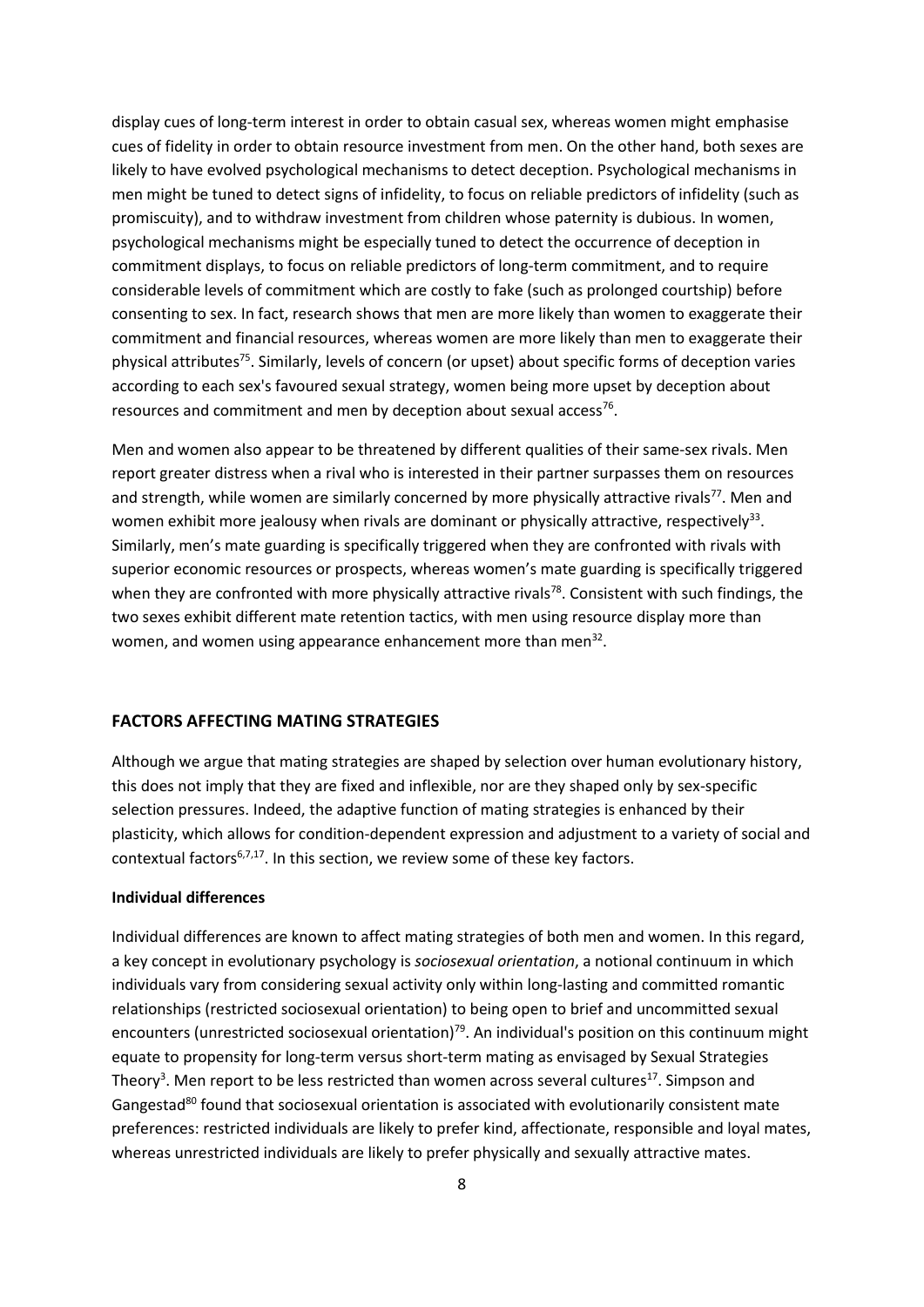display cues of long-term interest in order to obtain casual sex, whereas women might emphasise cues of fidelity in order to obtain resource investment from men. On the other hand, both sexes are likely to have evolved psychological mechanisms to detect deception. Psychological mechanisms in men might be tuned to detect signs of infidelity, to focus on reliable predictors of infidelity (such as promiscuity), and to withdraw investment from children whose paternity is dubious. In women, psychological mechanisms might be especially tuned to detect the occurrence of deception in commitment displays, to focus on reliable predictors of long-term commitment, and to require considerable levels of commitment which are costly to fake (such as prolonged courtship) before consenting to sex. In fact, research shows that men are more likely than women to exaggerate their commitment and financial resources, whereas women are more likely than men to exaggerate their physical attributes<sup>75</sup>. Similarly, levels of concern (or upset) about specific forms of deception varies according to each sex's favoured sexual strategy, women being more upset by deception about resources and commitment and men by deception about sexual access<sup>76</sup>.

Men and women also appear to be threatened by different qualities of their same-sex rivals. Men report greater distress when a rival who is interested in their partner surpasses them on resources and strength, while women are similarly concerned by more physically attractive rivals<sup>77</sup>. Men and women exhibit more jealousy when rivals are dominant or physically attractive, respectively<sup>33</sup>. Similarly, men's mate guarding is specifically triggered when they are confronted with rivals with superior economic resources or prospects, whereas women's mate guarding is specifically triggered when they are confronted with more physically attractive rivals<sup>78</sup>. Consistent with such findings, the two sexes exhibit different mate retention tactics, with men using resource display more than women, and women using appearance enhancement more than men<sup>32</sup>.

## **FACTORS AFFECTING MATING STRATEGIES**

Although we argue that mating strategies are shaped by selection over human evolutionary history, this does not imply that they are fixed and inflexible, nor are they shaped only by sex-specific selection pressures. Indeed, the adaptive function of mating strategies is enhanced by their plasticity, which allows for condition-dependent expression and adjustment to a variety of social and contextual factors<sup>6,7,17</sup>. In this section, we review some of these key factors.

## **Individual differences**

Individual differences are known to affect mating strategies of both men and women. In this regard, a key concept in evolutionary psychology is *sociosexual orientation*, a notional continuum in which individuals vary from considering sexual activity only within long-lasting and committed romantic relationships (restricted sociosexual orientation) to being open to brief and uncommitted sexual encounters (unrestricted sociosexual orientation)<sup>79</sup>. An individual's position on this continuum might equate to propensity for long-term versus short-term mating as envisaged by Sexual Strategies Theory<sup>3</sup>. Men report to be less restricted than women across several cultures<sup>17</sup>. Simpson and Gangestad<sup>80</sup> found that sociosexual orientation is associated with evolutionarily consistent mate preferences: restricted individuals are likely to prefer kind, affectionate, responsible and loyal mates, whereas unrestricted individuals are likely to prefer physically and sexually attractive mates.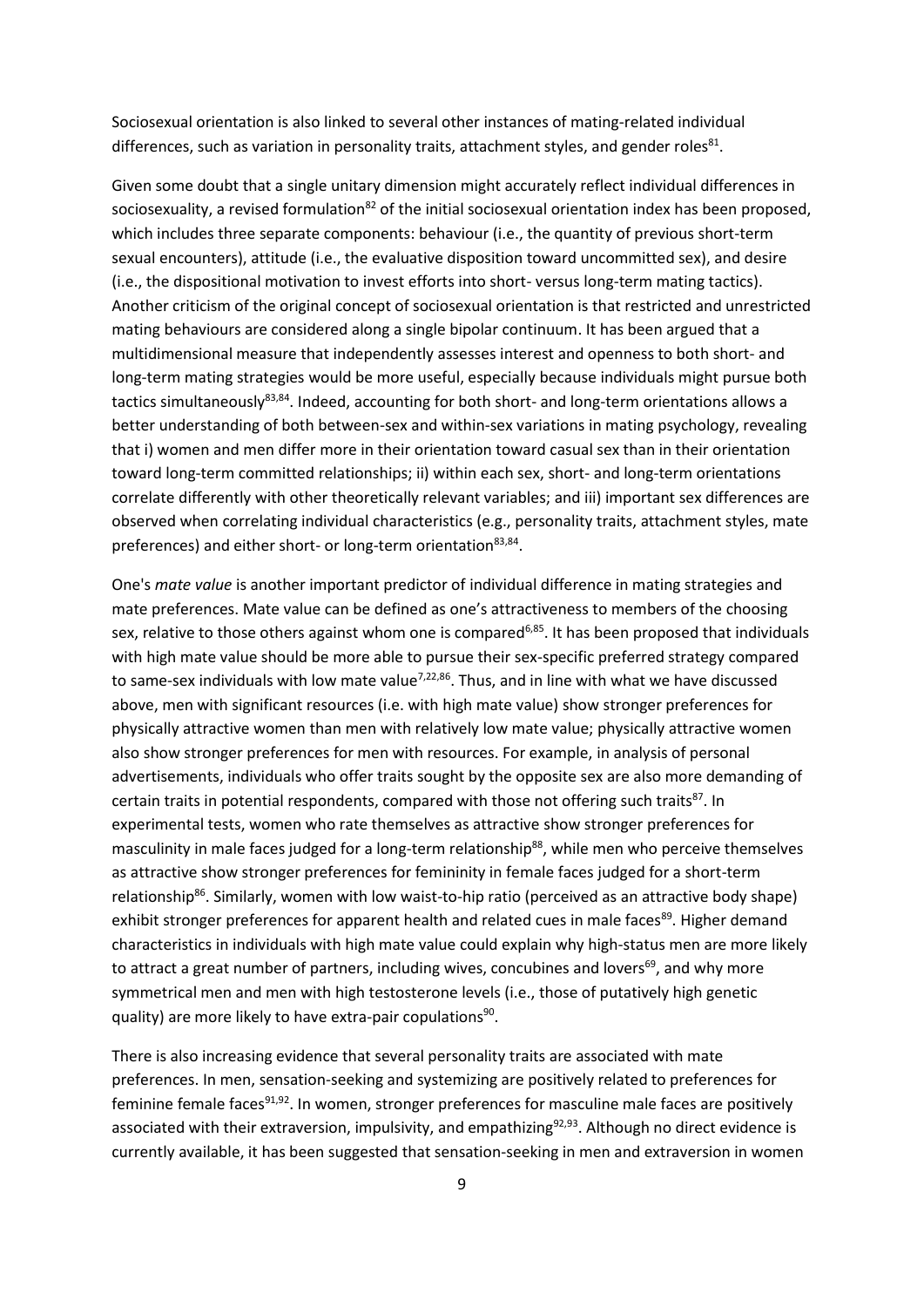Sociosexual orientation is also linked to several other instances of mating-related individual differences, such as variation in personality traits, attachment styles, and gender roles<sup>81</sup>.

Given some doubt that a single unitary dimension might accurately reflect individual differences in sociosexuality, a revised formulation<sup>82</sup> of the initial sociosexual orientation index has been proposed, which includes three separate components: behaviour (i.e., the quantity of previous short-term sexual encounters), attitude (i.e., the evaluative disposition toward uncommitted sex), and desire (i.e., the dispositional motivation to invest efforts into short- versus long-term mating tactics). Another criticism of the original concept of sociosexual orientation is that restricted and unrestricted mating behaviours are considered along a single bipolar continuum. It has been argued that a multidimensional measure that independently assesses interest and openness to both short- and long-term mating strategies would be more useful, especially because individuals might pursue both tactics simultaneously<sup>83,84</sup>. Indeed, accounting for both short- and long-term orientations allows a better understanding of both between-sex and within-sex variations in mating psychology, revealing that i) women and men differ more in their orientation toward casual sex than in their orientation toward long-term committed relationships; ii) within each sex, short- and long-term orientations correlate differently with other theoretically relevant variables; and iii) important sex differences are observed when correlating individual characteristics (e.g., personality traits, attachment styles, mate preferences) and either short- or long-term orientation83,84.

One's *mate value* is another important predictor of individual difference in mating strategies and mate preferences. Mate value can be defined as one's attractiveness to members of the choosing sex, relative to those others against whom one is compared<sup>6,85</sup>. It has been proposed that individuals with high mate value should be more able to pursue their sex-specific preferred strategy compared to same-sex individuals with low mate value<sup>7,22,86</sup>. Thus, and in line with what we have discussed above, men with significant resources (i.e. with high mate value) show stronger preferences for physically attractive women than men with relatively low mate value; physically attractive women also show stronger preferences for men with resources. For example, in analysis of personal advertisements, individuals who offer traits sought by the opposite sex are also more demanding of certain traits in potential respondents, compared with those not offering such traits<sup>87</sup>. In experimental tests, women who rate themselves as attractive show stronger preferences for masculinity in male faces judged for a long-term relationship<sup>88</sup>, while men who perceive themselves as attractive show stronger preferences for femininity in female faces judged for a short-term relationship<sup>86</sup>. Similarly, women with low waist-to-hip ratio (perceived as an attractive body shape) exhibit stronger preferences for apparent health and related cues in male faces<sup>89</sup>. Higher demand characteristics in individuals with high mate value could explain why high-status men are more likely to attract a great number of partners, including wives, concubines and lovers<sup>69</sup>, and why more symmetrical men and men with high testosterone levels (i.e., those of putatively high genetic quality) are more likely to have extra-pair copulations<sup>90</sup>.

There is also increasing evidence that several personality traits are associated with mate preferences. In men, sensation-seeking and systemizing are positively related to preferences for feminine female faces<sup>91,92</sup>. In women, stronger preferences for masculine male faces are positively associated with their extraversion, impulsivity, and empathizing<sup>92,93</sup>. Although no direct evidence is currently available, it has been suggested that sensation-seeking in men and extraversion in women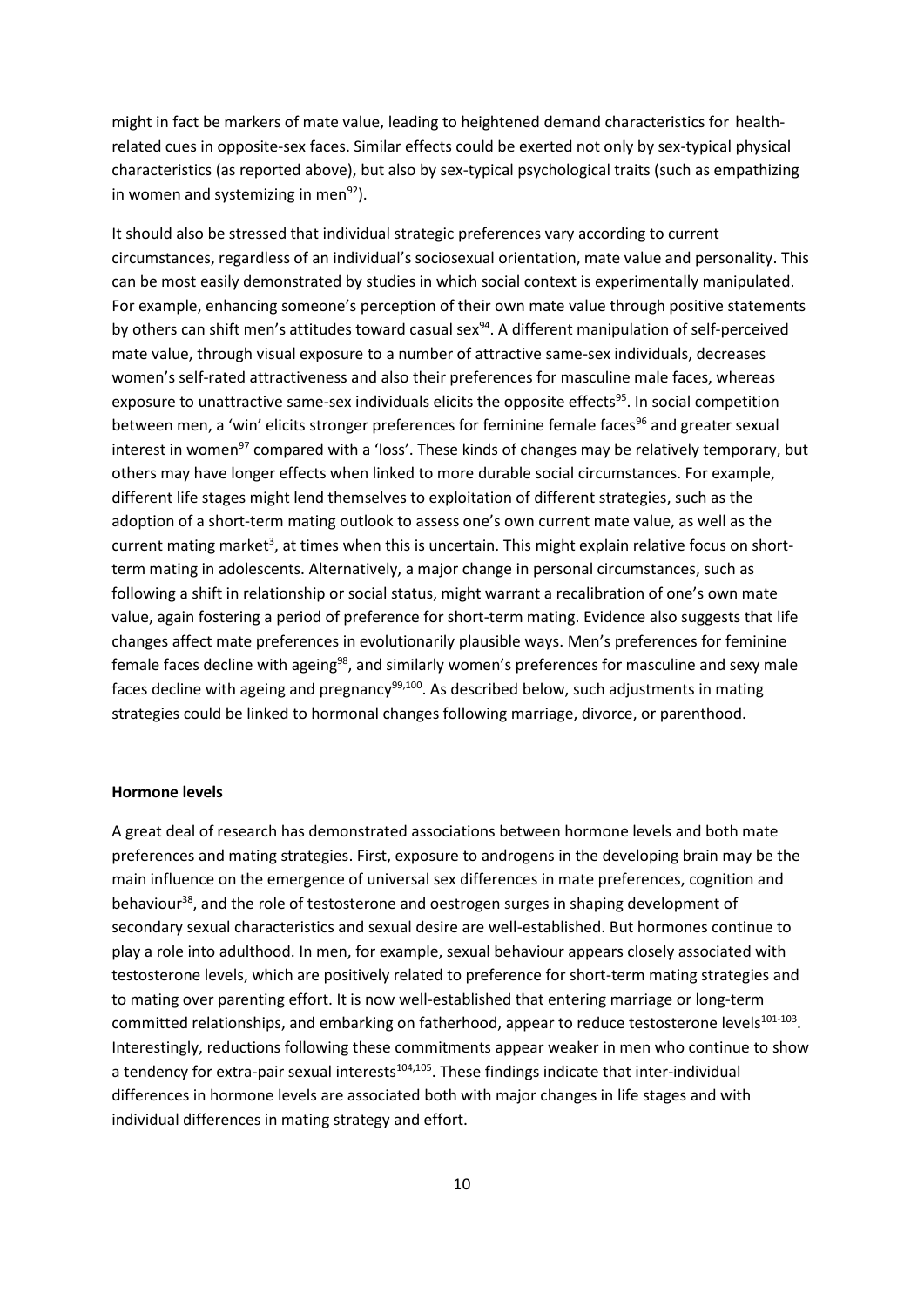might in fact be markers of mate value, leading to heightened demand characteristics for healthrelated cues in opposite-sex faces. Similar effects could be exerted not only by sex-typical physical characteristics (as reported above), but also by sex-typical psychological traits (such as empathizing in women and systemizing in men $92$ ).

It should also be stressed that individual strategic preferences vary according to current circumstances, regardless of an individual's sociosexual orientation, mate value and personality. This can be most easily demonstrated by studies in which social context is experimentally manipulated. For example, enhancing someone's perception of their own mate value through positive statements by others can shift men's attitudes toward casual sex<sup>94</sup>. A different manipulation of self-perceived mate value, through visual exposure to a number of attractive same-sex individuals, decreases women's self-rated attractiveness and also their preferences for masculine male faces, whereas exposure to unattractive same-sex individuals elicits the opposite effects<sup>95</sup>. In social competition between men, a 'win' elicits stronger preferences for feminine female faces<sup>96</sup> and greater sexual interest in women<sup>97</sup> compared with a 'loss'. These kinds of changes may be relatively temporary, but others may have longer effects when linked to more durable social circumstances. For example, different life stages might lend themselves to exploitation of different strategies, such as the adoption of a short-term mating outlook to assess one's own current mate value, as well as the current mating market<sup>3</sup>, at times when this is uncertain. This might explain relative focus on shortterm mating in adolescents. Alternatively, a major change in personal circumstances, such as following a shift in relationship or social status, might warrant a recalibration of one's own mate value, again fostering a period of preference for short-term mating. Evidence also suggests that life changes affect mate preferences in evolutionarily plausible ways. Men's preferences for feminine female faces decline with ageing<sup>98</sup>, and similarly women's preferences for masculine and sexy male faces decline with ageing and pregnancy $99,100$ . As described below, such adjustments in mating strategies could be linked to hormonal changes following marriage, divorce, or parenthood.

#### **Hormone levels**

A great deal of research has demonstrated associations between hormone levels and both mate preferences and mating strategies. First, exposure to androgens in the developing brain may be the main influence on the emergence of universal sex differences in mate preferences, cognition and behaviour<sup>38</sup>, and the role of testosterone and oestrogen surges in shaping development of secondary sexual characteristics and sexual desire are well-established. But hormones continue to play a role into adulthood. In men, for example, sexual behaviour appears closely associated with testosterone levels, which are positively related to preference for short-term mating strategies and to mating over parenting effort. It is now well-established that entering marriage or long-term committed relationships, and embarking on fatherhood, appear to reduce testosterone levels<sup>101-103</sup>. Interestingly, reductions following these commitments appear weaker in men who continue to show a tendency for extra-pair sexual interests<sup>104,105</sup>. These findings indicate that inter-individual differences in hormone levels are associated both with major changes in life stages and with individual differences in mating strategy and effort.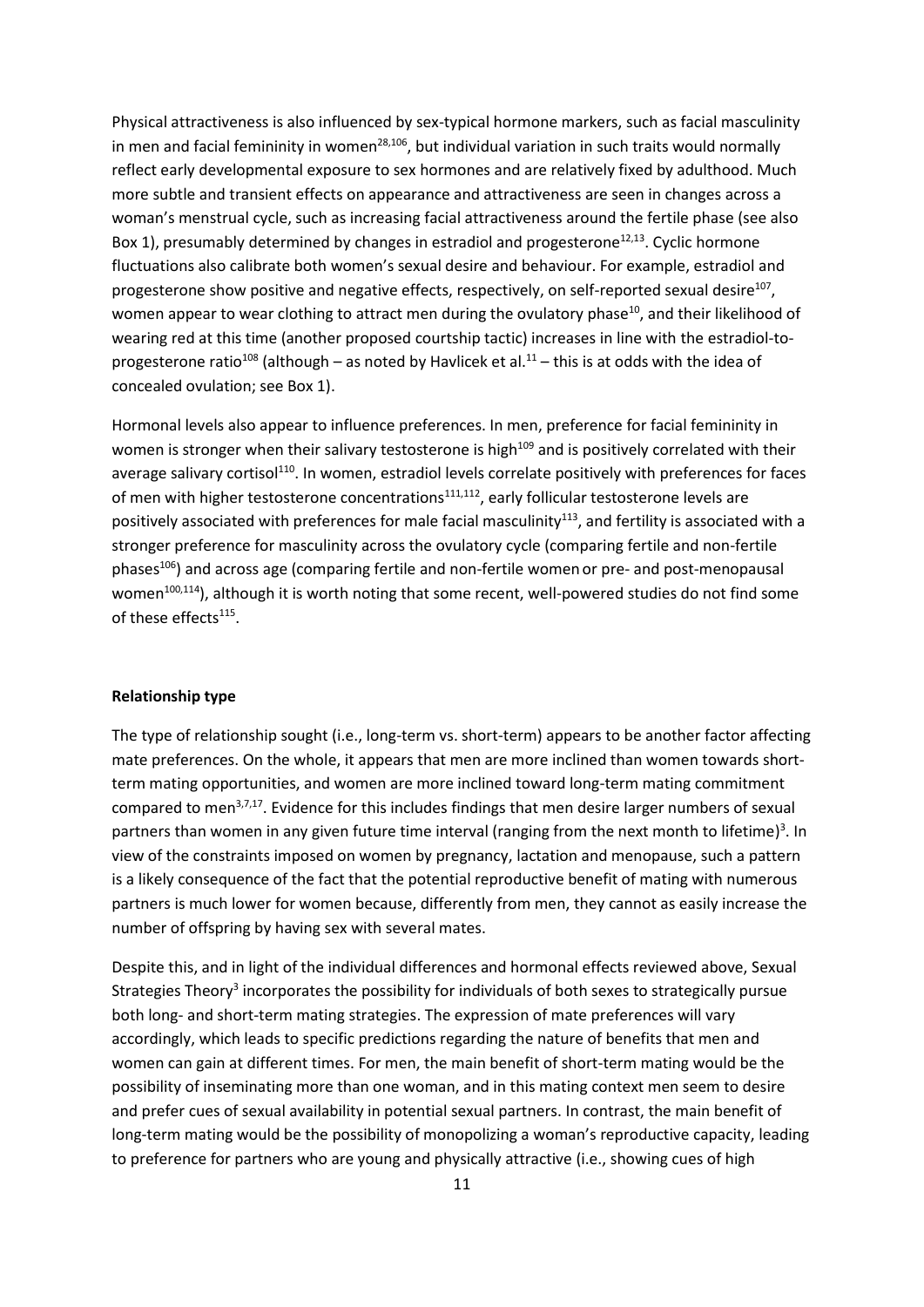Physical attractiveness is also influenced by sex-typical hormone markers, such as facial masculinity in men and facial femininity in women<sup>28,106</sup>, but individual variation in such traits would normally reflect early developmental exposure to sex hormones and are relatively fixed by adulthood. Much more subtle and transient effects on appearance and attractiveness are seen in changes across a woman's menstrual cycle, such as increasing facial attractiveness around the fertile phase (see also Box 1), presumably determined by changes in estradiol and progesterone<sup>12,13</sup>. Cyclic hormone fluctuations also calibrate both women's sexual desire and behaviour. For example, estradiol and progesterone show positive and negative effects, respectively, on self-reported sexual desire<sup>107</sup>, women appear to wear clothing to attract men during the ovulatory phase<sup>10</sup>, and their likelihood of wearing red at this time (another proposed courtship tactic) increases in line with the estradiol-toprogesterone ratio<sup>108</sup> (although – as noted by Havlicek et al.<sup>11</sup> – this is at odds with the idea of concealed ovulation; see Box 1).

Hormonal levels also appear to influence preferences. In men, preference for facial femininity in women is stronger when their salivary testosterone is high<sup>109</sup> and is positively correlated with their average salivary cortisol<sup>110</sup>. In women, estradiol levels correlate positively with preferences for faces of men with higher testosterone concentrations<sup>111,112</sup>, early follicular testosterone levels are positively associated with preferences for male facial masculinity<sup>113</sup>, and fertility is associated with a stronger preference for masculinity across the ovulatory cycle (comparing fertile and non-fertile phases<sup>106</sup>) and across age (comparing fertile and non-fertile women or pre- and post-menopausal women<sup>100,114</sup>), although it is worth noting that some recent, well-powered studies do not find some of these effects<sup>115</sup>.

#### **Relationship type**

The type of relationship sought (i.e., long-term vs. short-term) appears to be another factor affecting mate preferences. On the whole, it appears that men are more inclined than women towards shortterm mating opportunities, and women are more inclined toward long-term mating commitment compared to men<sup>3,7,17</sup>. Evidence for this includes findings that men desire larger numbers of sexual partners than women in any given future time interval (ranging from the next month to lifetime)<sup>3</sup>. In view of the constraints imposed on women by pregnancy, lactation and menopause, such a pattern is a likely consequence of the fact that the potential reproductive benefit of mating with numerous partners is much lower for women because, differently from men, they cannot as easily increase the number of offspring by having sex with several mates.

Despite this, and in light of the individual differences and hormonal effects reviewed above, Sexual Strategies Theory<sup>3</sup> incorporates the possibility for individuals of both sexes to strategically pursue both long- and short-term mating strategies. The expression of mate preferences will vary accordingly, which leads to specific predictions regarding the nature of benefits that men and women can gain at different times. For men, the main benefit of short-term mating would be the possibility of inseminating more than one woman, and in this mating context men seem to desire and prefer cues of sexual availability in potential sexual partners. In contrast, the main benefit of long-term mating would be the possibility of monopolizing a woman's reproductive capacity, leading to preference for partners who are young and physically attractive (i.e., showing cues of high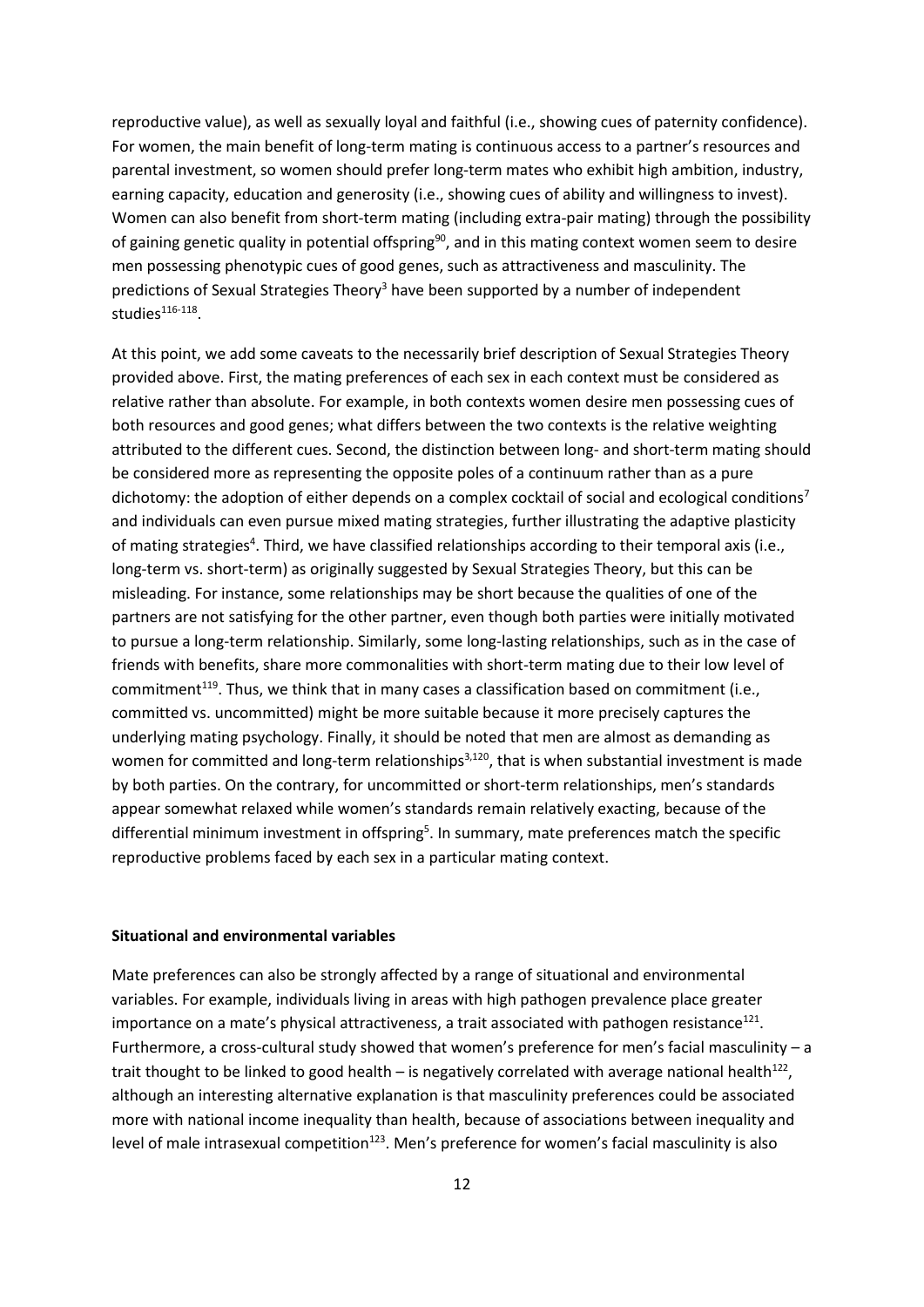reproductive value), as well as sexually loyal and faithful (i.e., showing cues of paternity confidence). For women, the main benefit of long-term mating is continuous access to a partner's resources and parental investment, so women should prefer long-term mates who exhibit high ambition, industry, earning capacity, education and generosity (i.e., showing cues of ability and willingness to invest). Women can also benefit from short-term mating (including extra-pair mating) through the possibility of gaining genetic quality in potential offspring<sup>90</sup>, and in this mating context women seem to desire men possessing phenotypic cues of good genes, such as attractiveness and masculinity. The predictions of Sexual Strategies Theory<sup>3</sup> have been supported by a number of independent studies<sup>116-118</sup>.

At this point, we add some caveats to the necessarily brief description of Sexual Strategies Theory provided above. First, the mating preferences of each sex in each context must be considered as relative rather than absolute. For example, in both contexts women desire men possessing cues of both resources and good genes; what differs between the two contexts is the relative weighting attributed to the different cues. Second, the distinction between long- and short-term mating should be considered more as representing the opposite poles of a continuum rather than as a pure dichotomy: the adoption of either depends on a complex cocktail of social and ecological conditions<sup>7</sup> and individuals can even pursue mixed mating strategies, further illustrating the adaptive plasticity of mating strategies<sup>4</sup>. Third, we have classified relationships according to their temporal axis (i.e., long-term vs. short-term) as originally suggested by Sexual Strategies Theory, but this can be misleading. For instance, some relationships may be short because the qualities of one of the partners are not satisfying for the other partner, even though both parties were initially motivated to pursue a long-term relationship. Similarly, some long-lasting relationships, such as in the case of friends with benefits, share more commonalities with short-term mating due to their low level of commitment<sup>119</sup>. Thus, we think that in many cases a classification based on commitment (i.e., committed vs. uncommitted) might be more suitable because it more precisely captures the underlying mating psychology. Finally, it should be noted that men are almost as demanding as women for committed and long-term relationships<sup>3,120</sup>, that is when substantial investment is made by both parties. On the contrary, for uncommitted or short-term relationships, men's standards appear somewhat relaxed while women's standards remain relatively exacting, because of the differential minimum investment in offspring<sup>5</sup>. In summary, mate preferences match the specific reproductive problems faced by each sex in a particular mating context.

#### **Situational and environmental variables**

Mate preferences can also be strongly affected by a range of situational and environmental variables. For example, individuals living in areas with high pathogen prevalence place greater importance on a mate's physical attractiveness, a trait associated with pathogen resistance<sup>121</sup>. Furthermore, a cross-cultural study showed that women's preference for men's facial masculinity – a trait thought to be linked to good health  $-$  is negatively correlated with average national health<sup>122</sup>, although an interesting alternative explanation is that masculinity preferences could be associated more with national income inequality than health, because of associations between inequality and level of male intrasexual competition<sup>123</sup>. Men's preference for women's facial masculinity is also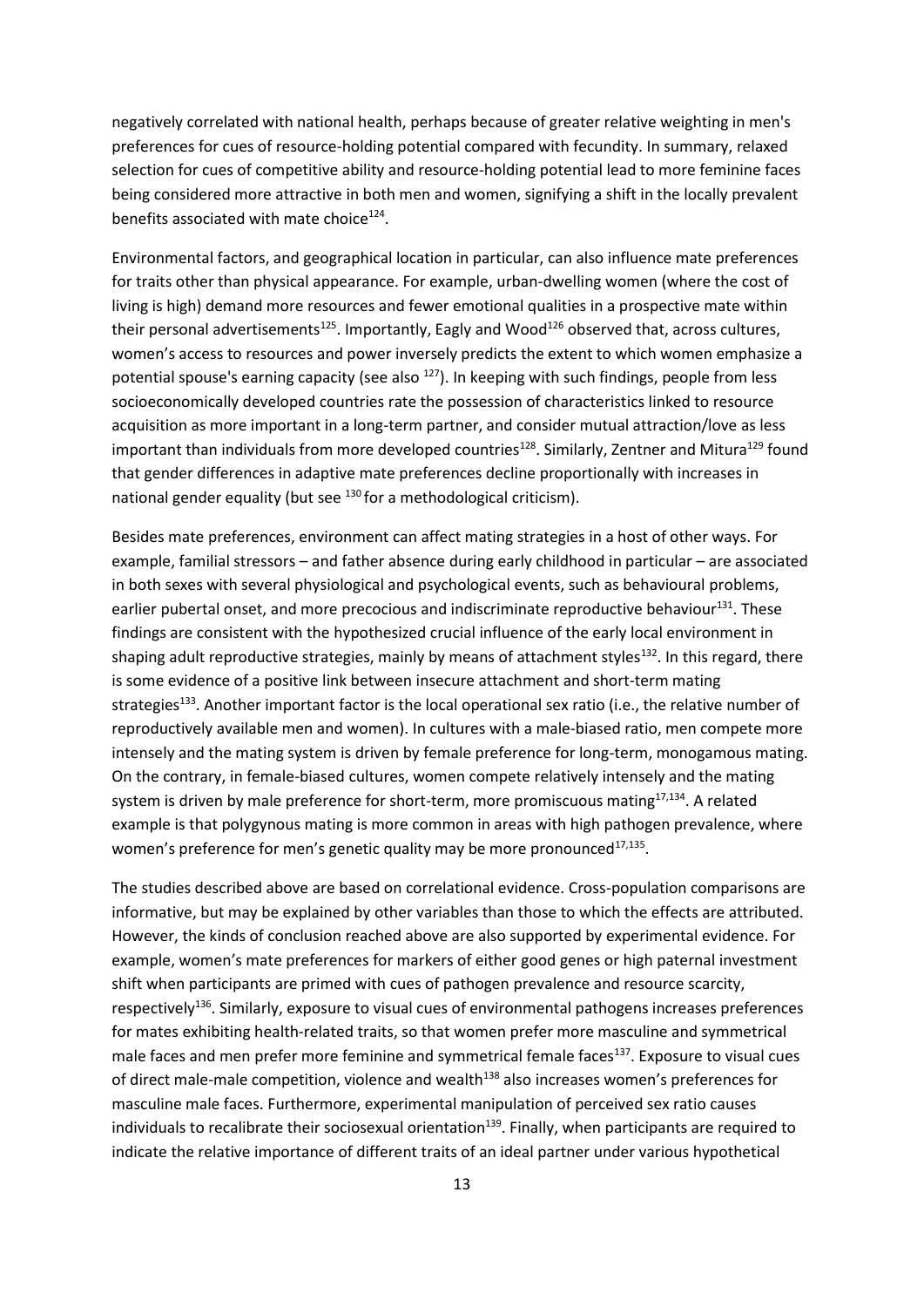negatively correlated with national health, perhaps because of greater relative weighting in men's preferences for cues of resource-holding potential compared with fecundity. In summary, relaxed selection for cues of competitive ability and resource-holding potential lead to more feminine faces being considered more attractive in both men and women, signifying a shift in the locally prevalent benefits associated with mate choice<sup>124</sup>.

Environmental factors, and geographical location in particular, can also influence mate preferences for traits other than physical appearance. For example, urban-dwelling women (where the cost of living is high) demand more resources and fewer emotional qualities in a prospective mate within their personal advertisements<sup>125</sup>. Importantly, Eagly and Wood<sup>126</sup> observed that, across cultures, women's access to resources and power inversely predicts the extent to which women emphasize a potential spouse's earning capacity (see also  $^{127}$ ). In keeping with such findings, people from less socioeconomically developed countries rate the possession of characteristics linked to resource acquisition as more important in a long-term partner, and consider mutual attraction/love as less important than individuals from more developed countries<sup>128</sup>. Similarly, Zentner and Mitura<sup>129</sup> found that gender differences in adaptive mate preferences decline proportionally with increases in national gender equality (but see  $^{130}$  for a methodological criticism).

Besides mate preferences, environment can affect mating strategies in a host of other ways. For example, familial stressors – and father absence during early childhood in particular – are associated in both sexes with several physiological and psychological events, such as behavioural problems, earlier pubertal onset, and more precocious and indiscriminate reproductive behaviour $^{131}$ . These findings are consistent with the hypothesized crucial influence of the early local environment in shaping adult reproductive strategies, mainly by means of attachment styles<sup>132</sup>. In this regard, there is some evidence of a positive link between insecure attachment and short-term mating strategies<sup>133</sup>. Another important factor is the local operational sex ratio (i.e., the relative number of reproductively available men and women). In cultures with a male-biased ratio, men compete more intensely and the mating system is driven by female preference for long-term, monogamous mating. On the contrary, in female-biased cultures, women compete relatively intensely and the mating system is driven by male preference for short-term, more promiscuous mating<sup>17,134</sup>. A related example is that polygynous mating is more common in areas with high pathogen prevalence, where women's preference for men's genetic quality may be more pronounced<sup>17,135</sup>.

The studies described above are based on correlational evidence. Cross-population comparisons are informative, but may be explained by other variables than those to which the effects are attributed. However, the kinds of conclusion reached above are also supported by experimental evidence. For example, women's mate preferences for markers of either good genes or high paternal investment shift when participants are primed with cues of pathogen prevalence and resource scarcity, respectively<sup>136</sup>. Similarly, exposure to visual cues of environmental pathogens increases preferences for mates exhibiting health-related traits, so that women prefer more masculine and symmetrical male faces and men prefer more feminine and symmetrical female faces<sup>137</sup>. Exposure to visual cues of direct male-male competition, violence and wealth<sup>138</sup> also increases women's preferences for masculine male faces. Furthermore, experimental manipulation of perceived sex ratio causes individuals to recalibrate their sociosexual orientation<sup>139</sup>. Finally, when participants are required to indicate the relative importance of different traits of an ideal partner under various hypothetical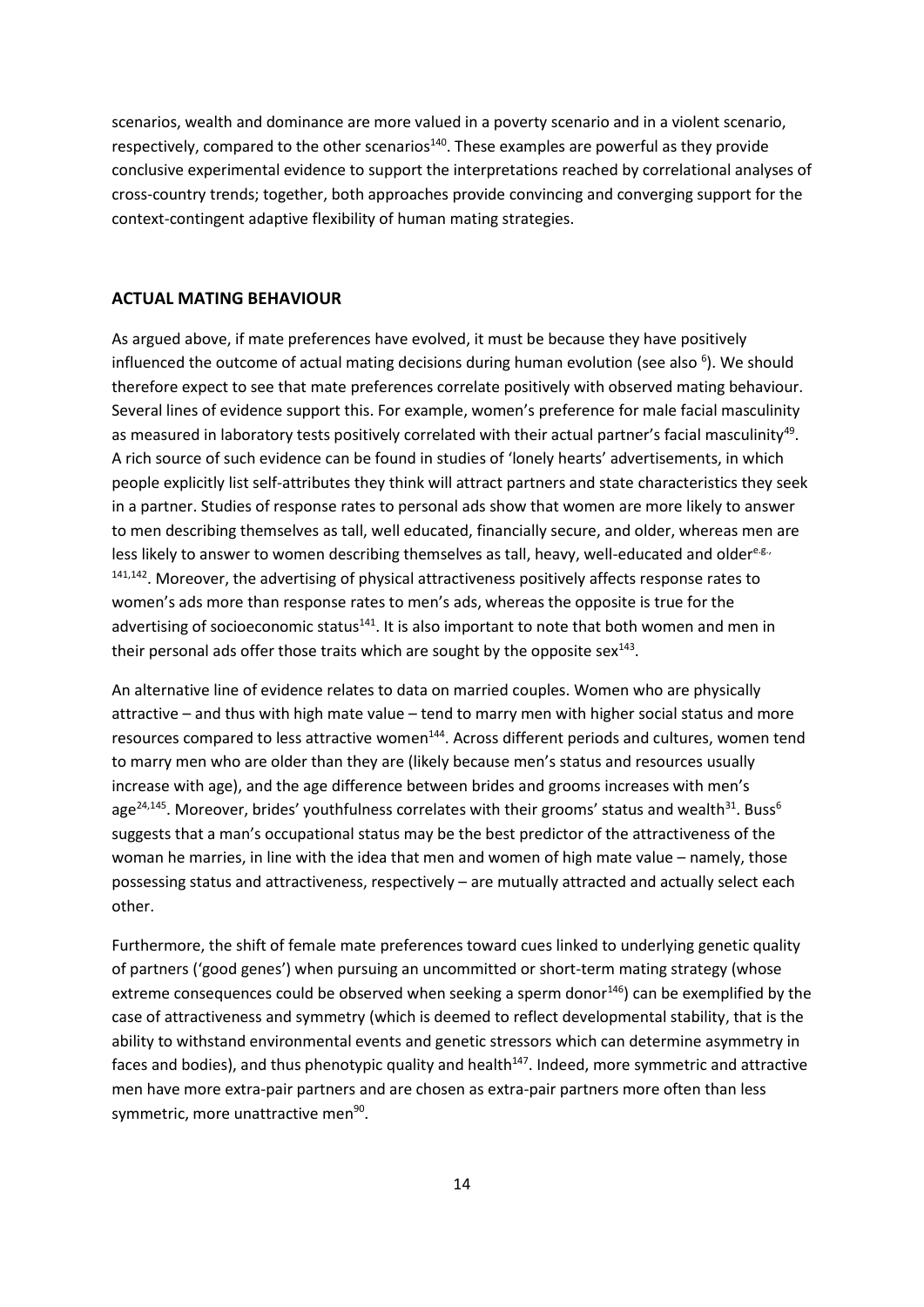scenarios, wealth and dominance are more valued in a poverty scenario and in a violent scenario, respectively, compared to the other scenarios<sup>140</sup>. These examples are powerful as they provide conclusive experimental evidence to support the interpretations reached by correlational analyses of cross-country trends; together, both approaches provide convincing and converging support for the context-contingent adaptive flexibility of human mating strategies.

#### **ACTUAL MATING BEHAVIOUR**

As argued above, if mate preferences have evolved, it must be because they have positively influenced the outcome of actual mating decisions during human evolution (see also <sup>6</sup>). We should therefore expect to see that mate preferences correlate positively with observed mating behaviour. Several lines of evidence support this. For example, women's preference for male facial masculinity as measured in laboratory tests positively correlated with their actual partner's facial masculinity<sup>49</sup>. A rich source of such evidence can be found in studies of 'lonely hearts' advertisements, in which people explicitly list self-attributes they think will attract partners and state characteristics they seek in a partner. Studies of response rates to personal ads show that women are more likely to answer to men describing themselves as tall, well educated, financially secure, and older, whereas men are less likely to answer to women describing themselves as tall, heavy, well-educated and oldere.<sup>g.,</sup> <sup>141,142</sup>. Moreover, the advertising of physical attractiveness positively affects response rates to women's ads more than response rates to men's ads, whereas the opposite is true for the advertising of socioeconomic status $141$ . It is also important to note that both women and men in their personal ads offer those traits which are sought by the opposite sex $^{143}$ .

An alternative line of evidence relates to data on married couples. Women who are physically attractive – and thus with high mate value – tend to marry men with higher social status and more resources compared to less attractive women<sup>144</sup>. Across different periods and cultures, women tend to marry men who are older than they are (likely because men's status and resources usually increase with age), and the age difference between brides and grooms increases with men's age<sup>24,145</sup>. Moreover, brides' youthfulness correlates with their grooms' status and wealth<sup>31</sup>. Buss<sup>6</sup> suggests that a man's occupational status may be the best predictor of the attractiveness of the woman he marries, in line with the idea that men and women of high mate value – namely, those possessing status and attractiveness, respectively – are mutually attracted and actually select each other.

Furthermore, the shift of female mate preferences toward cues linked to underlying genetic quality of partners ('good genes') when pursuing an uncommitted or short-term mating strategy (whose extreme consequences could be observed when seeking a sperm donor<sup>146</sup>) can be exemplified by the case of attractiveness and symmetry (which is deemed to reflect developmental stability, that is the ability to withstand environmental events and genetic stressors which can determine asymmetry in faces and bodies), and thus phenotypic quality and health<sup>147</sup>. Indeed, more symmetric and attractive men have more extra-pair partners and are chosen as extra-pair partners more often than less symmetric, more unattractive men<sup>90</sup>.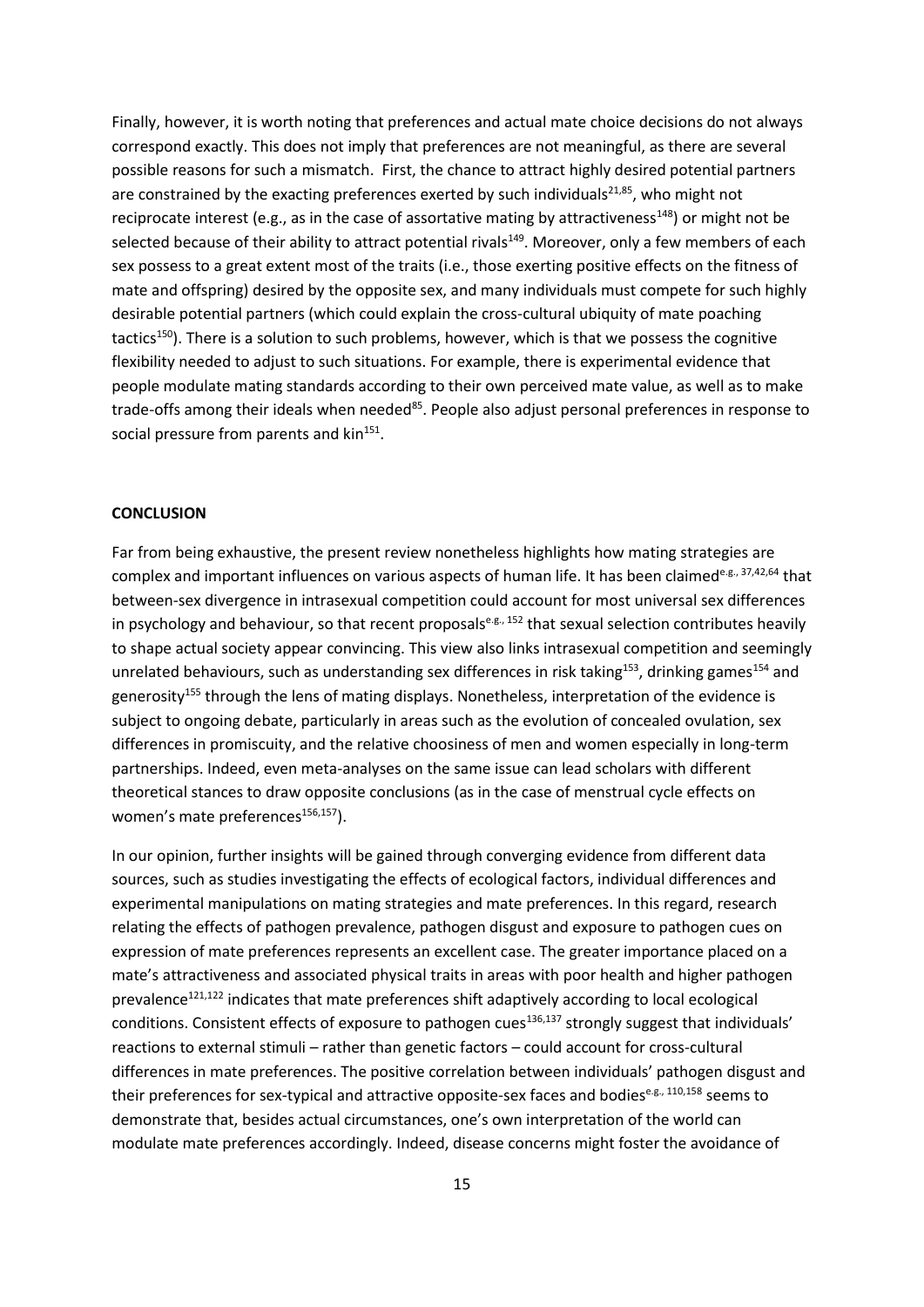Finally, however, it is worth noting that preferences and actual mate choice decisions do not always correspond exactly. This does not imply that preferences are not meaningful, as there are several possible reasons for such a mismatch. First, the chance to attract highly desired potential partners are constrained by the exacting preferences exerted by such individuals $^{21,85}$ , who might not reciprocate interest (e.g., as in the case of assortative mating by attractiveness<sup>148</sup>) or might not be selected because of their ability to attract potential rivals<sup>149</sup>. Moreover, only a few members of each sex possess to a great extent most of the traits (i.e., those exerting positive effects on the fitness of mate and offspring) desired by the opposite sex, and many individuals must compete for such highly desirable potential partners (which could explain the cross-cultural ubiquity of mate poaching tactics<sup>150</sup>). There is a solution to such problems, however, which is that we possess the cognitive flexibility needed to adjust to such situations. For example, there is experimental evidence that people modulate mating standards according to their own perceived mate value, as well as to make trade-offs among their ideals when needed<sup>85</sup>. People also adjust personal preferences in response to social pressure from parents and kin<sup>151</sup>.

#### **CONCLUSION**

Far from being exhaustive, the present review nonetheless highlights how mating strategies are complex and important influences on various aspects of human life. It has been claimede.<sup>g., 37,42,64</sup> that between-sex divergence in intrasexual competition could account for most universal sex differences in psychology and behaviour, so that recent proposalse.g., 152 that sexual selection contributes heavily to shape actual society appear convincing. This view also links intrasexual competition and seemingly unrelated behaviours, such as understanding sex differences in risk taking<sup>153</sup>, drinking games<sup>154</sup> and generosity<sup>155</sup> through the lens of mating displays. Nonetheless, interpretation of the evidence is subject to ongoing debate, particularly in areas such as the evolution of concealed ovulation, sex differences in promiscuity, and the relative choosiness of men and women especially in long-term partnerships. Indeed, even meta-analyses on the same issue can lead scholars with different theoretical stances to draw opposite conclusions (as in the case of menstrual cycle effects on women's mate preferences<sup>156,157</sup>).

In our opinion, further insights will be gained through converging evidence from different data sources, such as studies investigating the effects of ecological factors, individual differences and experimental manipulations on mating strategies and mate preferences. In this regard, research relating the effects of pathogen prevalence, pathogen disgust and exposure to pathogen cues on expression of mate preferences represents an excellent case. The greater importance placed on a mate's attractiveness and associated physical traits in areas with poor health and higher pathogen prevalence<sup>121,122</sup> indicates that mate preferences shift adaptively according to local ecological conditions. Consistent effects of exposure to pathogen cues<sup>136,137</sup> strongly suggest that individuals' reactions to external stimuli – rather than genetic factors – could account for cross-cultural differences in mate preferences. The positive correlation between individuals' pathogen disgust and their preferences for sex-typical and attractive opposite-sex faces and bodiese.g., 110,158 seems to demonstrate that, besides actual circumstances, one's own interpretation of the world can modulate mate preferences accordingly. Indeed, disease concerns might foster the avoidance of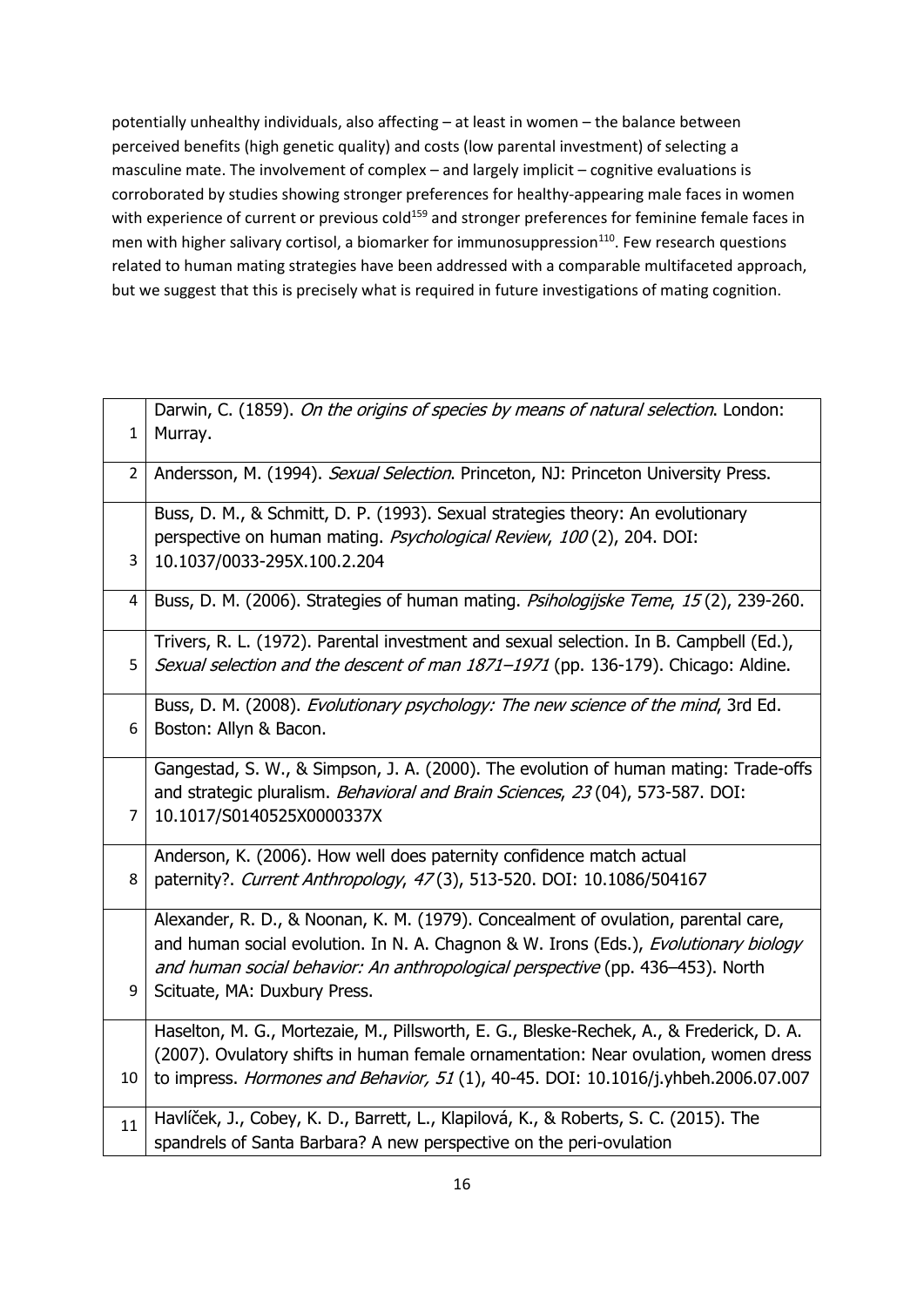potentially unhealthy individuals, also affecting – at least in women – the balance between perceived benefits (high genetic quality) and costs (low parental investment) of selecting a masculine mate. The involvement of complex – and largely implicit – cognitive evaluations is corroborated by studies showing stronger preferences for healthy-appearing male faces in women with experience of current or previous cold<sup>159</sup> and stronger preferences for feminine female faces in men with higher salivary cortisol, a biomarker for immunosuppression<sup>110</sup>. Few research questions related to human mating strategies have been addressed with a comparable multifaceted approach, but we suggest that this is precisely what is required in future investigations of mating cognition.

| $\mathbf{1}$   | Darwin, C. (1859). On the origins of species by means of natural selection. London:<br>Murray.                                                                                                                                                                                               |
|----------------|----------------------------------------------------------------------------------------------------------------------------------------------------------------------------------------------------------------------------------------------------------------------------------------------|
| $\overline{2}$ | Andersson, M. (1994). Sexual Selection. Princeton, NJ: Princeton University Press.                                                                                                                                                                                                           |
| 3              | Buss, D. M., & Schmitt, D. P. (1993). Sexual strategies theory: An evolutionary<br>perspective on human mating. Psychological Review, 100 (2), 204. DOI:<br>10.1037/0033-295X.100.2.204                                                                                                      |
| 4              | Buss, D. M. (2006). Strategies of human mating. Psihologijske Teme, 15(2), 239-260.                                                                                                                                                                                                          |
| 5              | Trivers, R. L. (1972). Parental investment and sexual selection. In B. Campbell (Ed.),<br>Sexual selection and the descent of man 1871-1971 (pp. 136-179). Chicago: Aldine.                                                                                                                  |
| 6              | Buss, D. M. (2008). Evolutionary psychology: The new science of the mind, 3rd Ed.<br>Boston: Allyn & Bacon.                                                                                                                                                                                  |
| 7              | Gangestad, S. W., & Simpson, J. A. (2000). The evolution of human mating: Trade-offs<br>and strategic pluralism. Behavioral and Brain Sciences, 23 (04), 573-587. DOI:<br>10.1017/S0140525X0000337X                                                                                          |
| 8              | Anderson, K. (2006). How well does paternity confidence match actual<br>paternity?. Current Anthropology, 47(3), 513-520. DOI: 10.1086/504167                                                                                                                                                |
| 9              | Alexander, R. D., & Noonan, K. M. (1979). Concealment of ovulation, parental care,<br>and human social evolution. In N. A. Chagnon & W. Irons (Eds.), Evolutionary biology<br>and human social behavior: An anthropological perspective (pp. 436-453). North<br>Scituate, MA: Duxbury Press. |
| 10             | Haselton, M. G., Mortezaie, M., Pillsworth, E. G., Bleske-Rechek, A., & Frederick, D. A.<br>(2007). Ovulatory shifts in human female ornamentation: Near ovulation, women dress<br>to impress. Hormones and Behavior, 51 (1), 40-45. DOI: 10.1016/j.yhbeh.2006.07.007                        |
| 11             | Havlíček, J., Cobey, K. D., Barrett, L., Klapilová, K., & Roberts, S. C. (2015). The<br>spandrels of Santa Barbara? A new perspective on the peri-ovulation                                                                                                                                  |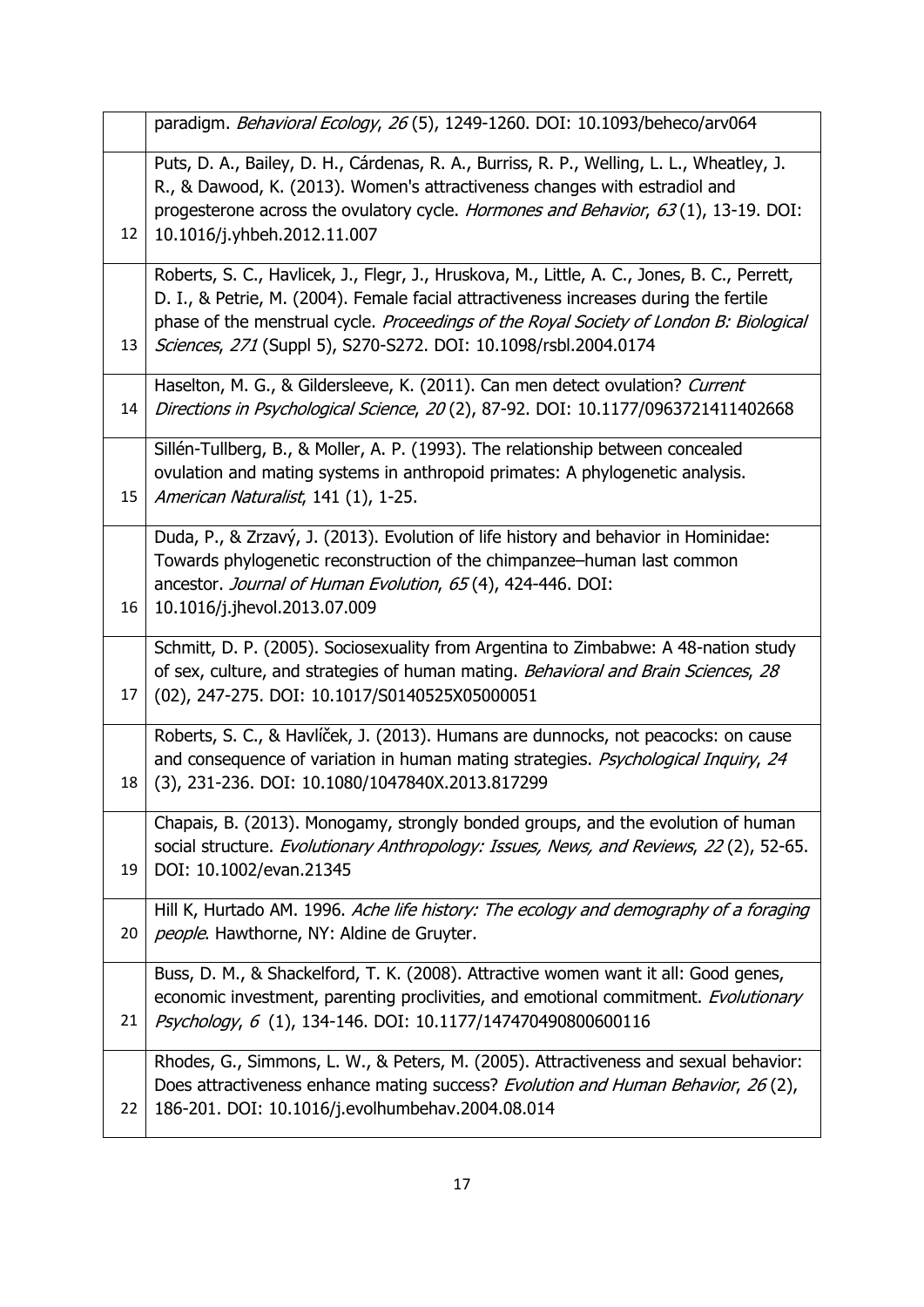|    | paradigm. Behavioral Ecology, 26 (5), 1249-1260. DOI: 10.1093/beheco/arv064                                                                                                                                                                                                                                                                        |
|----|----------------------------------------------------------------------------------------------------------------------------------------------------------------------------------------------------------------------------------------------------------------------------------------------------------------------------------------------------|
| 12 | Puts, D. A., Bailey, D. H., Cárdenas, R. A., Burriss, R. P., Welling, L. L., Wheatley, J.<br>R., & Dawood, K. (2013). Women's attractiveness changes with estradiol and<br>progesterone across the ovulatory cycle. Hormones and Behavior, 63(1), 13-19. DOI:<br>10.1016/j.yhbeh.2012.11.007                                                       |
| 13 | Roberts, S. C., Havlicek, J., Flegr, J., Hruskova, M., Little, A. C., Jones, B. C., Perrett,<br>D. I., & Petrie, M. (2004). Female facial attractiveness increases during the fertile<br>phase of the menstrual cycle. Proceedings of the Royal Society of London B: Biological<br>Sciences, 271 (Suppl 5), S270-S272. DOI: 10.1098/rsbl.2004.0174 |
| 14 | Haselton, M. G., & Gildersleeve, K. (2011). Can men detect ovulation? Current<br>Directions in Psychological Science, 20(2), 87-92. DOI: 10.1177/0963721411402668                                                                                                                                                                                  |
| 15 | Sillén-Tullberg, B., & Moller, A. P. (1993). The relationship between concealed<br>ovulation and mating systems in anthropoid primates: A phylogenetic analysis.<br>American Naturalist, 141 (1), 1-25.                                                                                                                                            |
| 16 | Duda, P., & Zrzavý, J. (2013). Evolution of life history and behavior in Hominidae:<br>Towards phylogenetic reconstruction of the chimpanzee–human last common<br>ancestor. Journal of Human Evolution, 65(4), 424-446. DOI:<br>10.1016/j.jhevol.2013.07.009                                                                                       |
| 17 | Schmitt, D. P. (2005). Sociosexuality from Argentina to Zimbabwe: A 48-nation study<br>of sex, culture, and strategies of human mating. Behavioral and Brain Sciences, 28<br>(02), 247-275. DOI: 10.1017/S0140525X05000051                                                                                                                         |
| 18 | Roberts, S. C., & Havlíček, J. (2013). Humans are dunnocks, not peacocks: on cause<br>and consequence of variation in human mating strategies. Psychological Inquiry, 24<br>(3), 231-236. DOI: 10.1080/1047840X.2013.817299                                                                                                                        |
| 19 | Chapais, B. (2013). Monogamy, strongly bonded groups, and the evolution of human<br>social structure. Evolutionary Anthropology: Issues, News, and Reviews, 22(2), 52-65.<br>DOI: 10.1002/evan.21345                                                                                                                                               |
| 20 | Hill K, Hurtado AM. 1996. Ache life history: The ecology and demography of a foraging<br>people. Hawthorne, NY: Aldine de Gruyter.                                                                                                                                                                                                                 |
| 21 | Buss, D. M., & Shackelford, T. K. (2008). Attractive women want it all: Good genes,<br>economic investment, parenting proclivities, and emotional commitment. Evolutionary<br>Psychology, 6 (1), 134-146. DOI: 10.1177/147470490800600116                                                                                                          |
| 22 | Rhodes, G., Simmons, L. W., & Peters, M. (2005). Attractiveness and sexual behavior:<br>Does attractiveness enhance mating success? Evolution and Human Behavior, 26(2),<br>186-201. DOI: 10.1016/j.evolhumbehav.2004.08.014                                                                                                                       |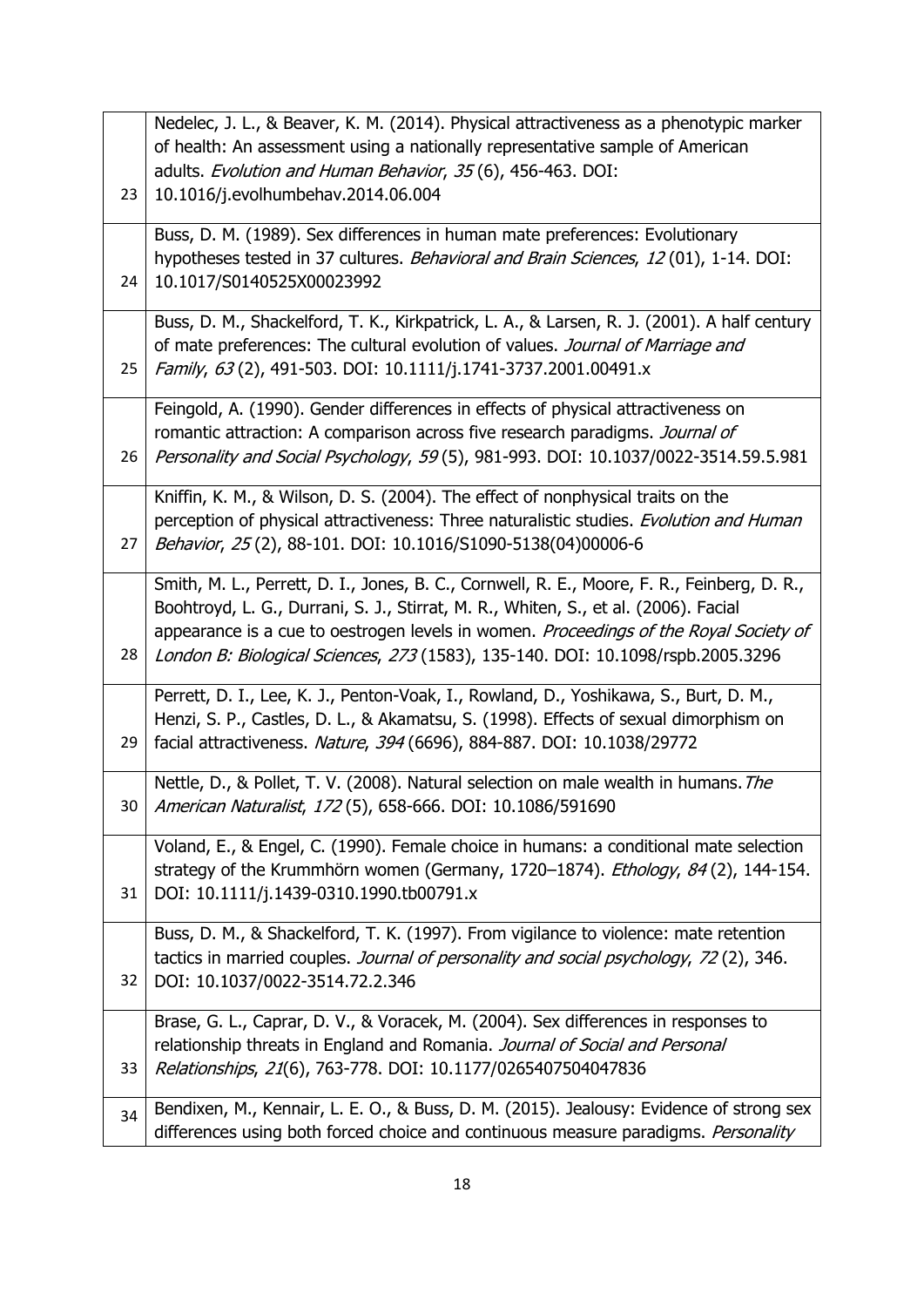|    | Nedelec, J. L., & Beaver, K. M. (2014). Physical attractiveness as a phenotypic marker                                                                                        |
|----|-------------------------------------------------------------------------------------------------------------------------------------------------------------------------------|
|    | of health: An assessment using a nationally representative sample of American                                                                                                 |
|    | adults. Evolution and Human Behavior, 35(6), 456-463. DOI:                                                                                                                    |
| 23 | 10.1016/j.evolhumbehav.2014.06.004                                                                                                                                            |
|    | Buss, D. M. (1989). Sex differences in human mate preferences: Evolutionary                                                                                                   |
|    | hypotheses tested in 37 cultures. Behavioral and Brain Sciences, 12 (01), 1-14. DOI:                                                                                          |
| 24 | 10.1017/S0140525X00023992                                                                                                                                                     |
|    |                                                                                                                                                                               |
|    | Buss, D. M., Shackelford, T. K., Kirkpatrick, L. A., & Larsen, R. J. (2001). A half century<br>of mate preferences: The cultural evolution of values. Journal of Marriage and |
| 25 | Family, 63(2), 491-503. DOI: 10.1111/j.1741-3737.2001.00491.x                                                                                                                 |
|    |                                                                                                                                                                               |
|    | Feingold, A. (1990). Gender differences in effects of physical attractiveness on                                                                                              |
|    | romantic attraction: A comparison across five research paradigms. Journal of                                                                                                  |
| 26 | Personality and Social Psychology, 59(5), 981-993. DOI: 10.1037/0022-3514.59.5.981                                                                                            |
|    | Kniffin, K. M., & Wilson, D. S. (2004). The effect of nonphysical traits on the                                                                                               |
|    | perception of physical attractiveness: Three naturalistic studies. Evolution and Human                                                                                        |
| 27 | Behavior, 25(2), 88-101. DOI: 10.1016/S1090-5138(04)00006-6                                                                                                                   |
|    |                                                                                                                                                                               |
|    | Smith, M. L., Perrett, D. I., Jones, B. C., Cornwell, R. E., Moore, F. R., Feinberg, D. R.,                                                                                   |
|    | Boohtroyd, L. G., Durrani, S. J., Stirrat, M. R., Whiten, S., et al. (2006). Facial                                                                                           |
|    | appearance is a cue to oestrogen levels in women. Proceedings of the Royal Society of                                                                                         |
| 28 | London B: Biological Sciences, 273 (1583), 135-140. DOI: 10.1098/rspb.2005.3296                                                                                               |
|    | Perrett, D. I., Lee, K. J., Penton-Voak, I., Rowland, D., Yoshikawa, S., Burt, D. M.,                                                                                         |
|    | Henzi, S. P., Castles, D. L., & Akamatsu, S. (1998). Effects of sexual dimorphism on                                                                                          |
| 29 | facial attractiveness. Nature, 394 (6696), 884-887. DOI: 10.1038/29772                                                                                                        |
|    | Nettle, D., & Pollet, T. V. (2008). Natural selection on male wealth in humans. The                                                                                           |
| 30 | American Naturalist, 172(5), 658-666. DOI: 10.1086/591690                                                                                                                     |
|    |                                                                                                                                                                               |
|    | Voland, E., & Engel, C. (1990). Female choice in humans: a conditional mate selection                                                                                         |
|    | strategy of the Krummhörn women (Germany, 1720-1874). Ethology, 84(2), 144-154.                                                                                               |
| 31 | DOI: 10.1111/j.1439-0310.1990.tb00791.x                                                                                                                                       |
|    | Buss, D. M., & Shackelford, T. K. (1997). From vigilance to violence: mate retention                                                                                          |
|    | tactics in married couples. Journal of personality and social psychology, 72(2), 346.                                                                                         |
| 32 | DOI: 10.1037/0022-3514.72.2.346                                                                                                                                               |
|    | Brase, G. L., Caprar, D. V., & Voracek, M. (2004). Sex differences in responses to                                                                                            |
|    | relationship threats in England and Romania. Journal of Social and Personal                                                                                                   |
| 33 | Relationships, 21(6), 763-778. DOI: 10.1177/0265407504047836                                                                                                                  |
|    |                                                                                                                                                                               |
| 34 | Bendixen, M., Kennair, L. E. O., & Buss, D. M. (2015). Jealousy: Evidence of strong sex                                                                                       |
|    | differences using both forced choice and continuous measure paradigms. Personality                                                                                            |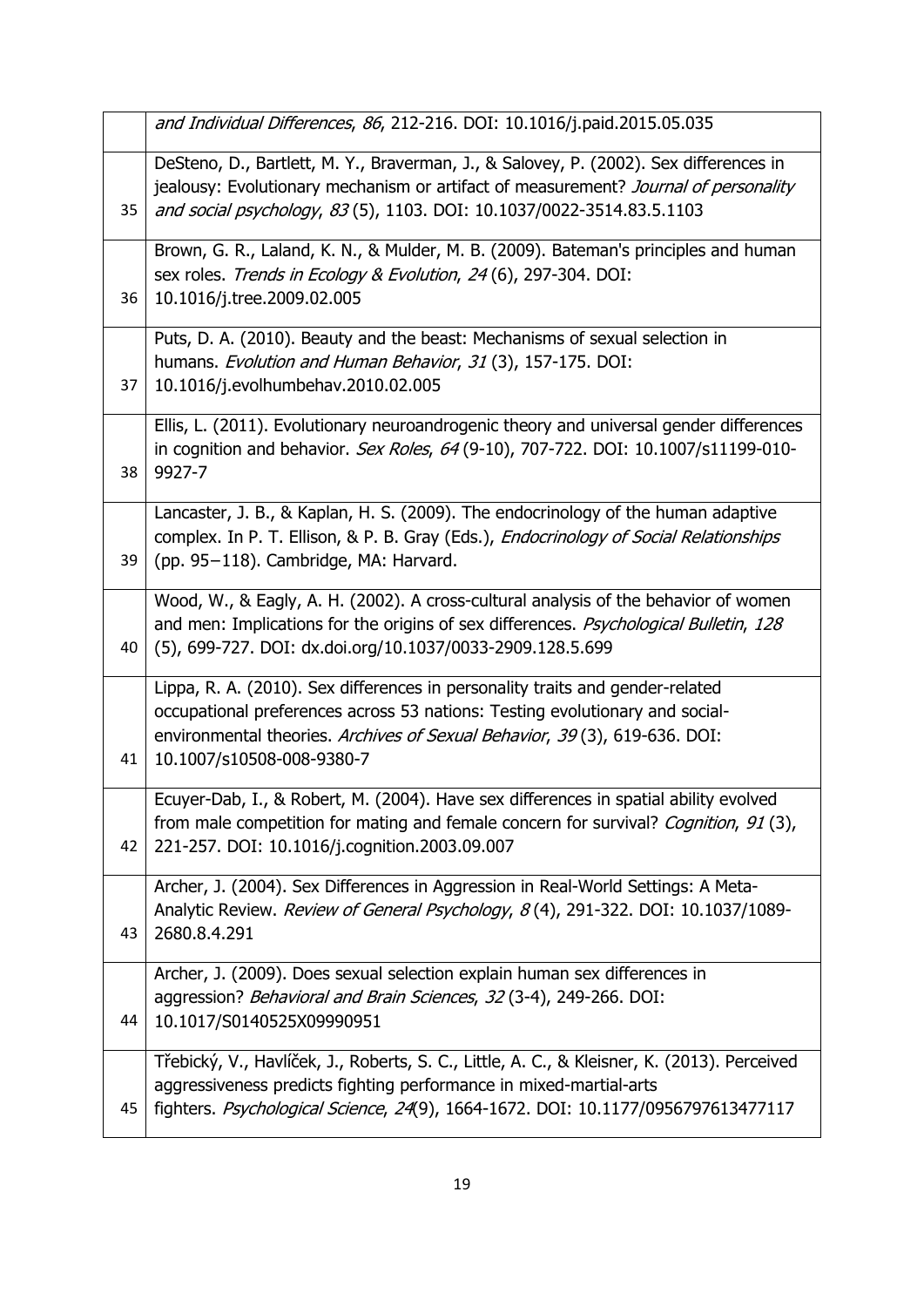|    | and Individual Differences, 86, 212-216. DOI: 10.1016/j.paid.2015.05.035                                                                                                                                                                                                |
|----|-------------------------------------------------------------------------------------------------------------------------------------------------------------------------------------------------------------------------------------------------------------------------|
| 35 | DeSteno, D., Bartlett, M. Y., Braverman, J., & Salovey, P. (2002). Sex differences in<br>jealousy: Evolutionary mechanism or artifact of measurement? Journal of personality<br>and social psychology, 83 (5), 1103. DOI: 10.1037/0022-3514.83.5.1103                   |
| 36 | Brown, G. R., Laland, K. N., & Mulder, M. B. (2009). Bateman's principles and human<br>sex roles. Trends in Ecology & Evolution, 24(6), 297-304. DOI:<br>10.1016/j.tree.2009.02.005                                                                                     |
| 37 | Puts, D. A. (2010). Beauty and the beast: Mechanisms of sexual selection in<br>humans. Evolution and Human Behavior, 31 (3), 157-175. DOI:<br>10.1016/j.evolhumbehav.2010.02.005                                                                                        |
| 38 | Ellis, L. (2011). Evolutionary neuroandrogenic theory and universal gender differences<br>in cognition and behavior. Sex Roles, 64 (9-10), 707-722. DOI: 10.1007/s11199-010-<br>9927-7                                                                                  |
| 39 | Lancaster, J. B., & Kaplan, H. S. (2009). The endocrinology of the human adaptive<br>complex. In P. T. Ellison, & P. B. Gray (Eds.), Endocrinology of Social Relationships<br>(pp. 95-118). Cambridge, MA: Harvard.                                                     |
| 40 | Wood, W., & Eagly, A. H. (2002). A cross-cultural analysis of the behavior of women<br>and men: Implications for the origins of sex differences. Psychological Bulletin, 128<br>(5), 699-727. DOI: dx.doi.org/10.1037/0033-2909.128.5.699                               |
| 41 | Lippa, R. A. (2010). Sex differences in personality traits and gender-related<br>occupational preferences across 53 nations: Testing evolutionary and social-<br>environmental theories. Archives of Sexual Behavior, 39(3), 619-636. DOI:<br>10.1007/s10508-008-9380-7 |
| 42 | Ecuyer-Dab, I., & Robert, M. (2004). Have sex differences in spatial ability evolved<br>from male competition for mating and female concern for survival? Cognition, 91(3),<br>221-257. DOI: 10.1016/j.cognition.2003.09.007                                            |
| 43 | Archer, J. (2004). Sex Differences in Aggression in Real-World Settings: A Meta-<br>Analytic Review. Review of General Psychology, 8(4), 291-322. DOI: 10.1037/1089-<br>2680.8.4.291                                                                                    |
| 44 | Archer, J. (2009). Does sexual selection explain human sex differences in<br>aggression? Behavioral and Brain Sciences, 32 (3-4), 249-266. DOI:<br>10.1017/S0140525X09990951                                                                                            |
| 45 | Třebický, V., Havlíček, J., Roberts, S. C., Little, A. C., & Kleisner, K. (2013). Perceived<br>aggressiveness predicts fighting performance in mixed-martial-arts<br>fighters. Psychological Science, 24(9), 1664-1672. DOI: 10.1177/0956797613477117                   |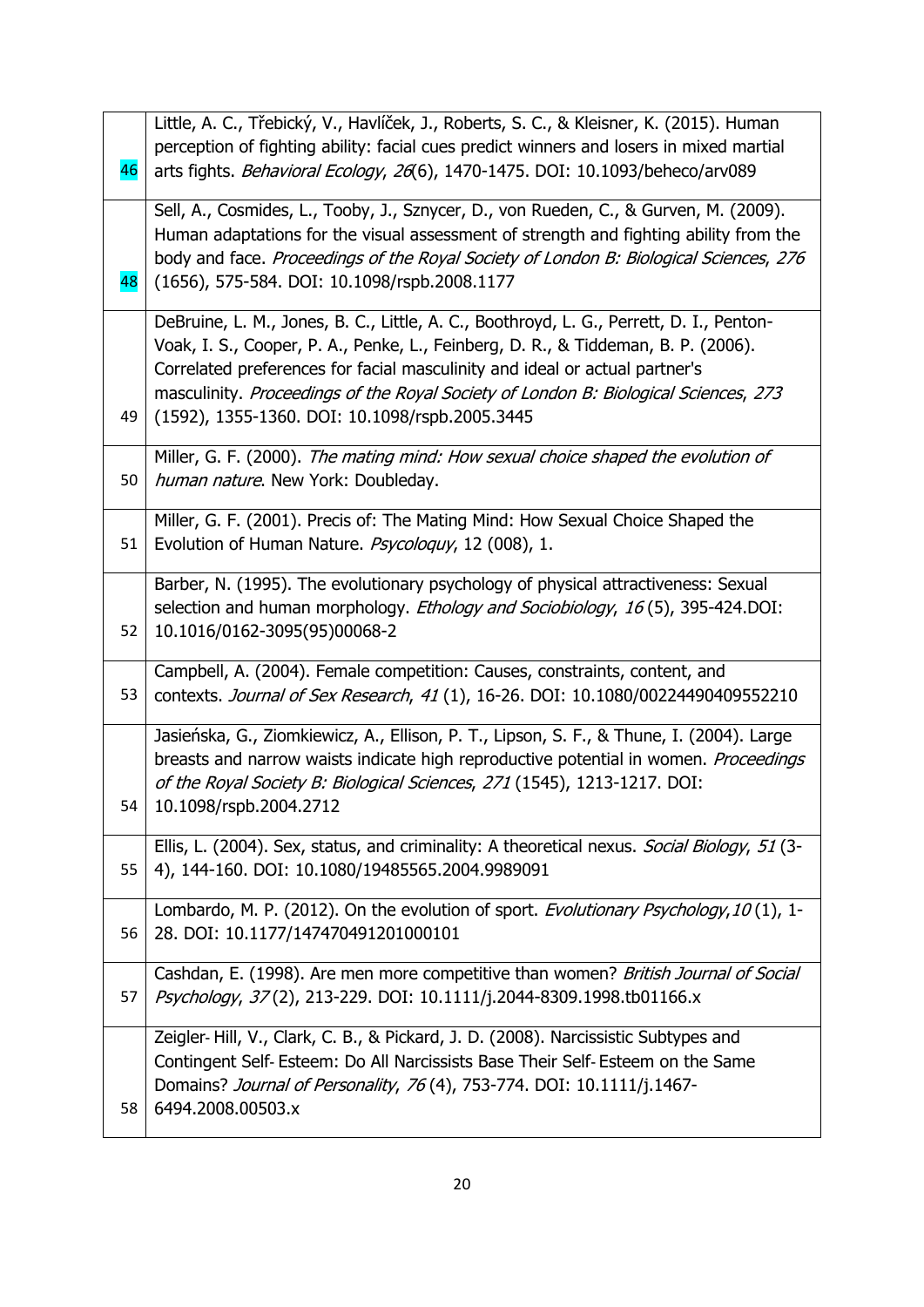|    | Little, A. C., Třebický, V., Havlíček, J., Roberts, S. C., & Kleisner, K. (2015). Human     |
|----|---------------------------------------------------------------------------------------------|
|    | perception of fighting ability: facial cues predict winners and losers in mixed martial     |
| 46 | arts fights. Behavioral Ecology, 26(6), 1470-1475. DOI: 10.1093/beheco/arv089               |
|    | Sell, A., Cosmides, L., Tooby, J., Sznycer, D., von Rueden, C., & Gurven, M. (2009).        |
|    | Human adaptations for the visual assessment of strength and fighting ability from the       |
|    | body and face. Proceedings of the Royal Society of London B: Biological Sciences, 276       |
| 48 | (1656), 575-584. DOI: 10.1098/rspb.2008.1177                                                |
|    | DeBruine, L. M., Jones, B. C., Little, A. C., Boothroyd, L. G., Perrett, D. I., Penton-     |
|    | Voak, I. S., Cooper, P. A., Penke, L., Feinberg, D. R., & Tiddeman, B. P. (2006).           |
|    | Correlated preferences for facial masculinity and ideal or actual partner's                 |
|    | masculinity. Proceedings of the Royal Society of London B: Biological Sciences, 273         |
| 49 | (1592), 1355-1360. DOI: 10.1098/rspb.2005.3445                                              |
|    | Miller, G. F. (2000). The mating mind: How sexual choice shaped the evolution of            |
| 50 | human nature. New York: Doubleday.                                                          |
|    | Miller, G. F. (2001). Precis of: The Mating Mind: How Sexual Choice Shaped the              |
| 51 | Evolution of Human Nature. Psycologuy, 12 (008), 1.                                         |
|    | Barber, N. (1995). The evolutionary psychology of physical attractiveness: Sexual           |
|    | selection and human morphology. Ethology and Sociobiology, 16(5), 395-424.DOI:              |
| 52 | 10.1016/0162-3095(95)00068-2                                                                |
|    | Campbell, A. (2004). Female competition: Causes, constraints, content, and                  |
| 53 | contexts. Journal of Sex Research, 41 (1), 16-26. DOI: 10.1080/00224490409552210            |
|    | Jasieńska, G., Ziomkiewicz, A., Ellison, P. T., Lipson, S. F., & Thune, I. (2004). Large    |
|    | breasts and narrow waists indicate high reproductive potential in women. Proceedings        |
|    | of the Royal Society B: Biological Sciences, 271 (1545), 1213-1217. DOI:                    |
| 54 | 10.1098/rspb.2004.2712                                                                      |
|    | Ellis, L. (2004). Sex, status, and criminality: A theoretical nexus. Social Biology, 51 (3- |
| 55 | 4), 144-160. DOI: 10.1080/19485565.2004.9989091                                             |
|    | Lombardo, M. P. (2012). On the evolution of sport. Evolutionary Psychology, 10(1), 1-       |
| 56 | 28. DOI: 10.1177/147470491201000101                                                         |
|    | Cashdan, E. (1998). Are men more competitive than women? British Journal of Social          |
| 57 | Psychology, 37(2), 213-229. DOI: 10.1111/j.2044-8309.1998.tb01166.x                         |
|    | Zeigler-Hill, V., Clark, C. B., & Pickard, J. D. (2008). Narcissistic Subtypes and          |
|    | Contingent Self-Esteem: Do All Narcissists Base Their Self-Esteem on the Same               |
|    | Domains? Journal of Personality, 76(4), 753-774. DOI: 10.1111/j.1467-                       |
| 58 | 6494.2008.00503.x                                                                           |
|    |                                                                                             |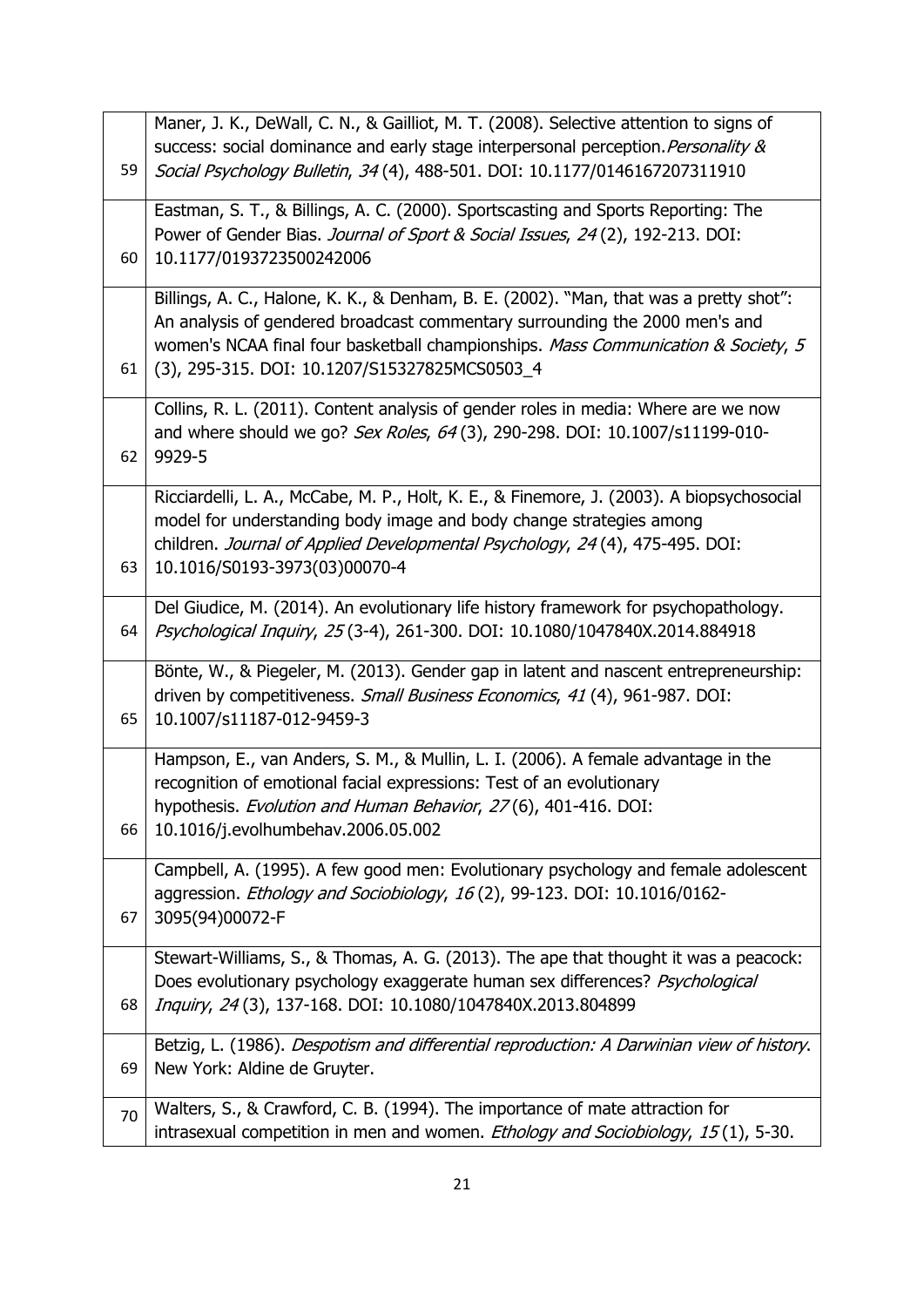|    | Maner, J. K., DeWall, C. N., & Gailliot, M. T. (2008). Selective attention to signs of    |
|----|-------------------------------------------------------------------------------------------|
|    | success: social dominance and early stage interpersonal perception. Personality &         |
| 59 | Social Psychology Bulletin, 34(4), 488-501. DOI: 10.1177/0146167207311910                 |
|    |                                                                                           |
|    | Eastman, S. T., & Billings, A. C. (2000). Sportscasting and Sports Reporting: The         |
|    | Power of Gender Bias. Journal of Sport & Social Issues, 24(2), 192-213. DOI:              |
| 60 | 10.1177/0193723500242006                                                                  |
|    |                                                                                           |
|    | Billings, A. C., Halone, K. K., & Denham, B. E. (2002). "Man, that was a pretty shot":    |
|    | An analysis of gendered broadcast commentary surrounding the 2000 men's and               |
|    | women's NCAA final four basketball championships. Mass Communication & Society, 5         |
| 61 | (3), 295-315. DOI: 10.1207/S15327825MCS0503_4                                             |
|    |                                                                                           |
|    | Collins, R. L. (2011). Content analysis of gender roles in media: Where are we now        |
|    | and where should we go? Sex Roles, 64(3), 290-298. DOI: 10.1007/s11199-010-               |
| 62 | 9929-5                                                                                    |
|    | Ricciardelli, L. A., McCabe, M. P., Holt, K. E., & Finemore, J. (2003). A biopsychosocial |
|    | model for understanding body image and body change strategies among                       |
|    | children. Journal of Applied Developmental Psychology, 24(4), 475-495. DOI:               |
|    |                                                                                           |
| 63 | 10.1016/S0193-3973(03)00070-4                                                             |
|    | Del Giudice, M. (2014). An evolutionary life history framework for psychopathology.       |
| 64 | Psychological Inquiry, 25(3-4), 261-300. DOI: 10.1080/1047840X.2014.884918                |
|    |                                                                                           |
|    | Bönte, W., & Piegeler, M. (2013). Gender gap in latent and nascent entrepreneurship:      |
|    | driven by competitiveness. Small Business Economics, 41 (4), 961-987. DOI:                |
| 65 | 10.1007/s11187-012-9459-3                                                                 |
|    | Hampson, E., van Anders, S. M., & Mullin, L. I. (2006). A female advantage in the         |
|    |                                                                                           |
|    | recognition of emotional facial expressions: Test of an evolutionary                      |
|    | hypothesis. Evolution and Human Behavior, 27(6), 401-416. DOI:                            |
| 66 | 10.1016/j.evolhumbehav.2006.05.002                                                        |
|    | Campbell, A. (1995). A few good men: Evolutionary psychology and female adolescent        |
|    | aggression. Ethology and Sociobiology, 16(2), 99-123. DOI: 10.1016/0162-                  |
| 67 | 3095(94)00072-F                                                                           |
|    |                                                                                           |
|    | Stewart-Williams, S., & Thomas, A. G. (2013). The ape that thought it was a peacock:      |
|    | Does evolutionary psychology exaggerate human sex differences? Psychological              |
| 68 | Inquiry, 24(3), 137-168. DOI: 10.1080/1047840X.2013.804899                                |
|    |                                                                                           |
|    | Betzig, L. (1986). Despotism and differential reproduction: A Darwinian view of history.  |
| 69 | New York: Aldine de Gruyter.                                                              |
|    | Walters, S., & Crawford, C. B. (1994). The importance of mate attraction for              |
| 70 |                                                                                           |
|    | intrasexual competition in men and women. Ethology and Sociobiology, 15(1), 5-30.         |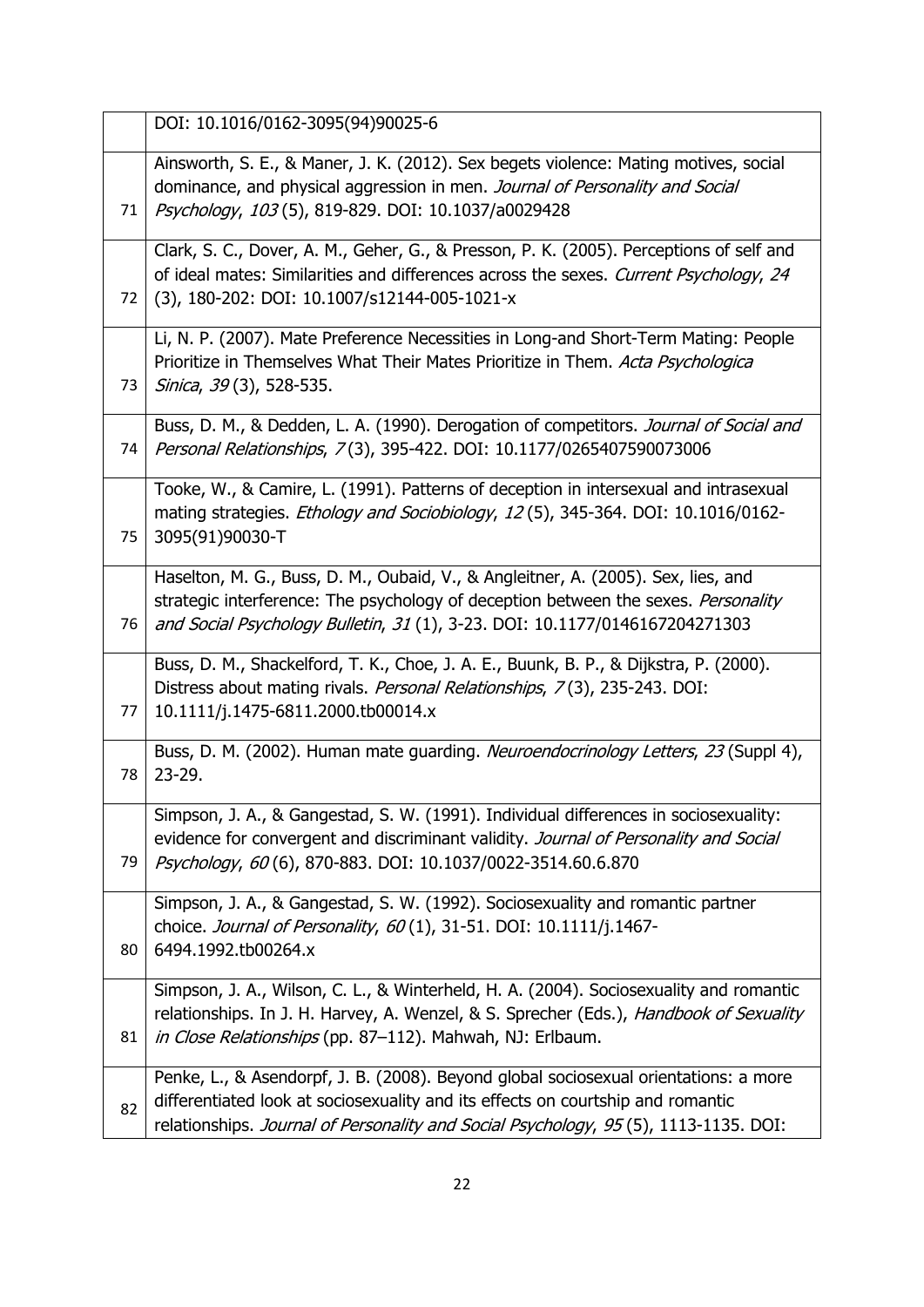|    | DOI: 10.1016/0162-3095(94)90025-6                                                                                                                                                                                                                              |
|----|----------------------------------------------------------------------------------------------------------------------------------------------------------------------------------------------------------------------------------------------------------------|
| 71 | Ainsworth, S. E., & Maner, J. K. (2012). Sex begets violence: Mating motives, social<br>dominance, and physical aggression in men. Journal of Personality and Social<br>Psychology, 103 (5), 819-829. DOI: 10.1037/a0029428                                    |
| 72 | Clark, S. C., Dover, A. M., Geher, G., & Presson, P. K. (2005). Perceptions of self and<br>of ideal mates: Similarities and differences across the sexes. Current Psychology, 24<br>(3), 180-202: DOI: 10.1007/s12144-005-1021-x                               |
| 73 | Li, N. P. (2007). Mate Preference Necessities in Long-and Short-Term Mating: People<br>Prioritize in Themselves What Their Mates Prioritize in Them. Acta Psychologica<br><i>Sinica, 39</i> (3), 528-535.                                                      |
| 74 | Buss, D. M., & Dedden, L. A. (1990). Derogation of competitors. Journal of Social and<br>Personal Relationships, 7(3), 395-422. DOI: 10.1177/0265407590073006                                                                                                  |
| 75 | Tooke, W., & Camire, L. (1991). Patterns of deception in intersexual and intrasexual<br>mating strategies. <i>Ethology and Sociobiology, 12</i> (5), 345-364. DOI: 10.1016/0162-<br>3095(91)90030-T                                                            |
| 76 | Haselton, M. G., Buss, D. M., Oubaid, V., & Angleitner, A. (2005). Sex, lies, and<br>strategic interference: The psychology of deception between the sexes. Personality<br>and Social Psychology Bulletin, 31 (1), 3-23. DOI: 10.1177/0146167204271303         |
| 77 | Buss, D. M., Shackelford, T. K., Choe, J. A. E., Buunk, B. P., & Dijkstra, P. (2000).<br>Distress about mating rivals. Personal Relationships, 7(3), 235-243. DOI:<br>10.1111/j.1475-6811.2000.tb00014.x                                                       |
| 78 | Buss, D. M. (2002). Human mate guarding. Neuroendocrinology Letters, 23 (Suppl 4),<br>$23 - 29.$                                                                                                                                                               |
| 79 | Simpson, J. A., & Gangestad, S. W. (1991). Individual differences in sociosexuality:<br>evidence for convergent and discriminant validity. Journal of Personality and Social<br>Psychology, 60(6), 870-883. DOI: 10.1037/0022-3514.60.6.870                    |
| 80 | Simpson, J. A., & Gangestad, S. W. (1992). Sociosexuality and romantic partner<br>choice. Journal of Personality, 60(1), 31-51. DOI: 10.1111/j.1467-<br>6494.1992.tb00264.x                                                                                    |
| 81 | Simpson, J. A., Wilson, C. L., & Winterheld, H. A. (2004). Sociosexuality and romantic<br>relationships. In J. H. Harvey, A. Wenzel, & S. Sprecher (Eds.), Handbook of Sexuality<br>in Close Relationships (pp. 87-112). Mahwah, NJ: Erlbaum.                  |
| 82 | Penke, L., & Asendorpf, J. B. (2008). Beyond global sociosexual orientations: a more<br>differentiated look at sociosexuality and its effects on courtship and romantic<br>relationships. Journal of Personality and Social Psychology, 95(5), 1113-1135. DOI: |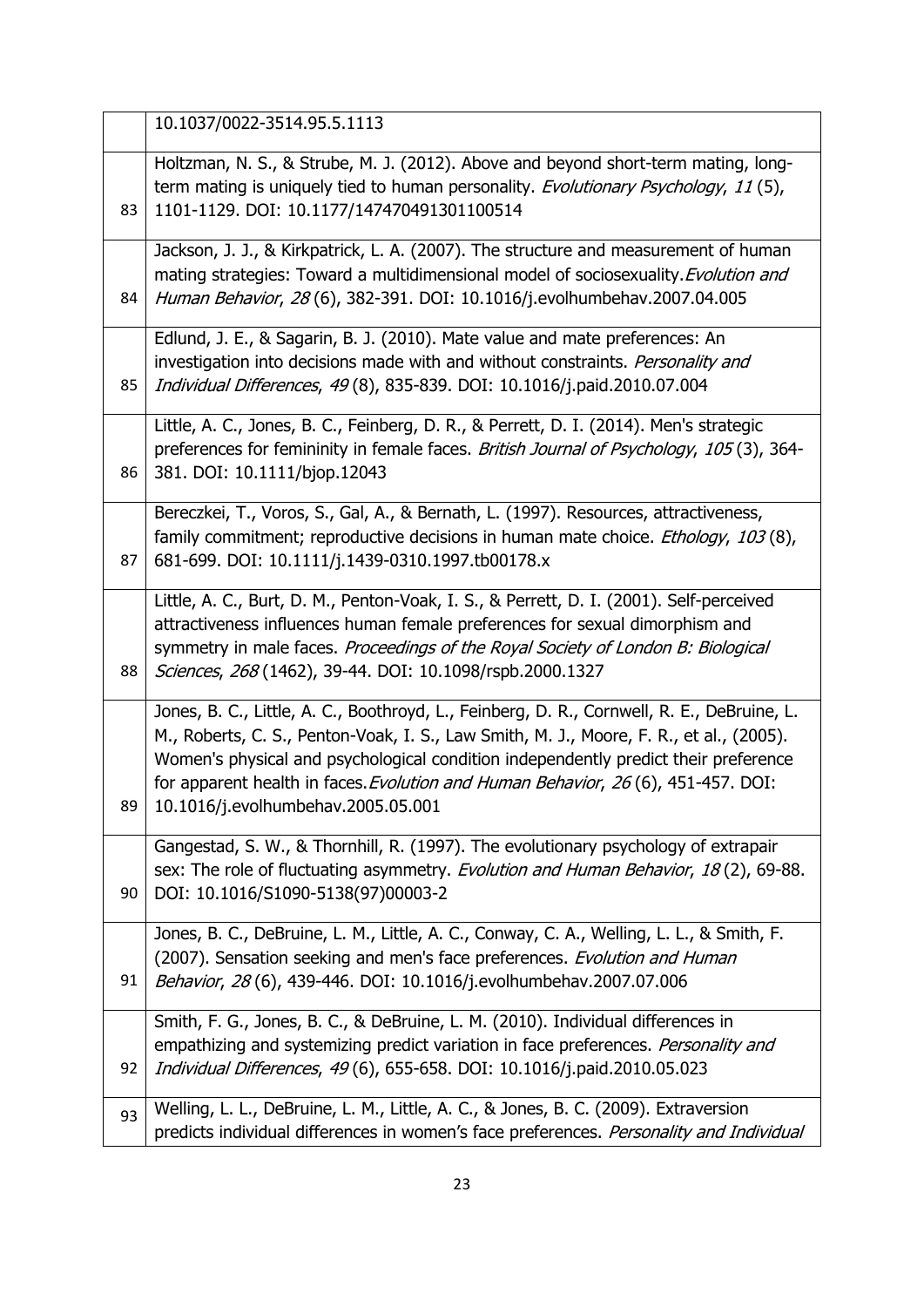|    | 10.1037/0022-3514.95.5.1113                                                                                                                                                                                                                                                                                                                                                                            |
|----|--------------------------------------------------------------------------------------------------------------------------------------------------------------------------------------------------------------------------------------------------------------------------------------------------------------------------------------------------------------------------------------------------------|
| 83 | Holtzman, N. S., & Strube, M. J. (2012). Above and beyond short-term mating, long-<br>term mating is uniquely tied to human personality. Evolutionary Psychology, 11(5),<br>1101-1129. DOI: 10.1177/147470491301100514                                                                                                                                                                                 |
| 84 | Jackson, J. J., & Kirkpatrick, L. A. (2007). The structure and measurement of human<br>mating strategies: Toward a multidimensional model of sociosexuality. Evolution and<br>Human Behavior, 28(6), 382-391. DOI: 10.1016/j.evolhumbehav.2007.04.005                                                                                                                                                  |
| 85 | Edlund, J. E., & Sagarin, B. J. (2010). Mate value and mate preferences: An<br>investigation into decisions made with and without constraints. Personality and<br>Individual Differences, 49(8), 835-839. DOI: 10.1016/j.paid.2010.07.004                                                                                                                                                              |
| 86 | Little, A. C., Jones, B. C., Feinberg, D. R., & Perrett, D. I. (2014). Men's strategic<br>preferences for femininity in female faces. British Journal of Psychology, 105(3), 364-<br>381. DOI: 10.1111/bjop.12043                                                                                                                                                                                      |
| 87 | Bereczkei, T., Voros, S., Gal, A., & Bernath, L. (1997). Resources, attractiveness,<br>family commitment; reproductive decisions in human mate choice. Ethology, 103(8),<br>681-699. DOI: 10.1111/j.1439-0310.1997.tb00178.x                                                                                                                                                                           |
| 88 | Little, A. C., Burt, D. M., Penton-Voak, I. S., & Perrett, D. I. (2001). Self-perceived<br>attractiveness influences human female preferences for sexual dimorphism and<br>symmetry in male faces. Proceedings of the Royal Society of London B: Biological<br>Sciences, 268 (1462), 39-44. DOI: 10.1098/rspb.2000.1327                                                                                |
| 89 | Jones, B. C., Little, A. C., Boothroyd, L., Feinberg, D. R., Cornwell, R. E., DeBruine, L.<br>M., Roberts, C. S., Penton-Voak, I. S., Law Smith, M. J., Moore, F. R., et al., (2005).<br>Women's physical and psychological condition independently predict their preference<br>for apparent health in faces. Evolution and Human Behavior, 26(6), 451-457. DOI:<br>10.1016/j.evolhumbehav.2005.05.001 |
| 90 | Gangestad, S. W., & Thornhill, R. (1997). The evolutionary psychology of extrapair<br>sex: The role of fluctuating asymmetry. Evolution and Human Behavior, 18(2), 69-88.<br>DOI: 10.1016/S1090-5138(97)00003-2                                                                                                                                                                                        |
| 91 | Jones, B. C., DeBruine, L. M., Little, A. C., Conway, C. A., Welling, L. L., & Smith, F.<br>(2007). Sensation seeking and men's face preferences. Evolution and Human<br>Behavior, 28(6), 439-446. DOI: 10.1016/j.evolhumbehav.2007.07.006                                                                                                                                                             |
| 92 | Smith, F. G., Jones, B. C., & DeBruine, L. M. (2010). Individual differences in<br>empathizing and systemizing predict variation in face preferences. Personality and<br>Individual Differences, 49(6), 655-658. DOI: 10.1016/j.paid.2010.05.023                                                                                                                                                       |
| 93 | Welling, L. L., DeBruine, L. M., Little, A. C., & Jones, B. C. (2009). Extraversion<br>predicts individual differences in women's face preferences. Personality and Individual                                                                                                                                                                                                                         |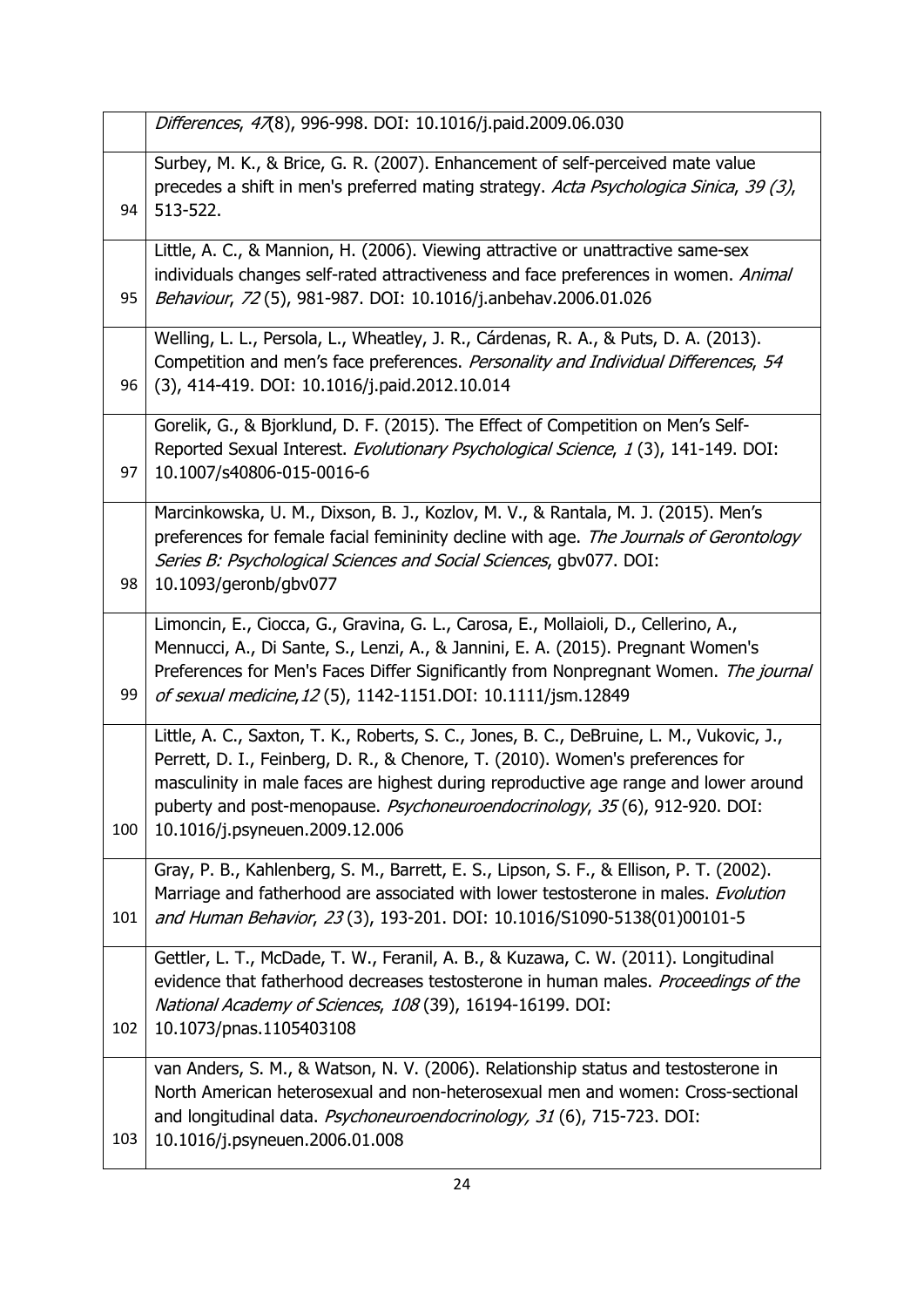Differences, 47(8), 996-998. DOI: 10.1016/j.paid.2009.06.030

ſ

| 94  | Surbey, M. K., & Brice, G. R. (2007). Enhancement of self-perceived mate value<br>precedes a shift in men's preferred mating strategy. Acta Psychologica Sinica, 39 (3),<br>513-522.                                                                                                                                                                                                |
|-----|-------------------------------------------------------------------------------------------------------------------------------------------------------------------------------------------------------------------------------------------------------------------------------------------------------------------------------------------------------------------------------------|
| 95  | Little, A. C., & Mannion, H. (2006). Viewing attractive or unattractive same-sex<br>individuals changes self-rated attractiveness and face preferences in women. Animal<br>Behaviour, 72 (5), 981-987. DOI: 10.1016/j.anbehav.2006.01.026                                                                                                                                           |
| 96  | Welling, L. L., Persola, L., Wheatley, J. R., Cárdenas, R. A., & Puts, D. A. (2013).<br>Competition and men's face preferences. Personality and Individual Differences, 54<br>(3), 414-419. DOI: 10.1016/j.paid.2012.10.014                                                                                                                                                         |
| 97  | Gorelik, G., & Bjorklund, D. F. (2015). The Effect of Competition on Men's Self-<br>Reported Sexual Interest. Evolutionary Psychological Science, 1(3), 141-149. DOI:<br>10.1007/s40806-015-0016-6                                                                                                                                                                                  |
| 98  | Marcinkowska, U. M., Dixson, B. J., Kozlov, M. V., & Rantala, M. J. (2015). Men's<br>preferences for female facial femininity decline with age. The Journals of Gerontology<br>Series B: Psychological Sciences and Social Sciences, gbv077. DOI:<br>10.1093/geronb/gbv077                                                                                                          |
| 99  | Limoncin, E., Ciocca, G., Gravina, G. L., Carosa, E., Mollaioli, D., Cellerino, A.,<br>Mennucci, A., Di Sante, S., Lenzi, A., & Jannini, E. A. (2015). Pregnant Women's<br>Preferences for Men's Faces Differ Significantly from Nonpregnant Women. The journal<br>of sexual medicine, 12(5), 1142-1151.DOI: 10.1111/jsm.12849                                                      |
| 100 | Little, A. C., Saxton, T. K., Roberts, S. C., Jones, B. C., DeBruine, L. M., Vukovic, J.,<br>Perrett, D. I., Feinberg, D. R., & Chenore, T. (2010). Women's preferences for<br>masculinity in male faces are highest during reproductive age range and lower around<br>puberty and post-menopause. Psychoneuroendocrinology, 35(6), 912-920. DOI:<br>10.1016/j.psyneuen.2009.12.006 |
| 101 | Gray, P. B., Kahlenberg, S. M., Barrett, E. S., Lipson, S. F., & Ellison, P. T. (2002).<br>Marriage and fatherhood are associated with lower testosterone in males. Evolution<br>and Human Behavior, 23(3), 193-201. DOI: 10.1016/S1090-5138(01)00101-5                                                                                                                             |
| 102 | Gettler, L. T., McDade, T. W., Feranil, A. B., & Kuzawa, C. W. (2011). Longitudinal<br>evidence that fatherhood decreases testosterone in human males. Proceedings of the<br>National Academy of Sciences, 108 (39), 16194-16199. DOI:<br>10.1073/pnas.1105403108                                                                                                                   |
| 103 | van Anders, S. M., & Watson, N. V. (2006). Relationship status and testosterone in<br>North American heterosexual and non-heterosexual men and women: Cross-sectional<br>and longitudinal data. Psychoneuroendocrinology, 31 (6), 715-723. DOI:<br>10.1016/j.psyneuen.2006.01.008                                                                                                   |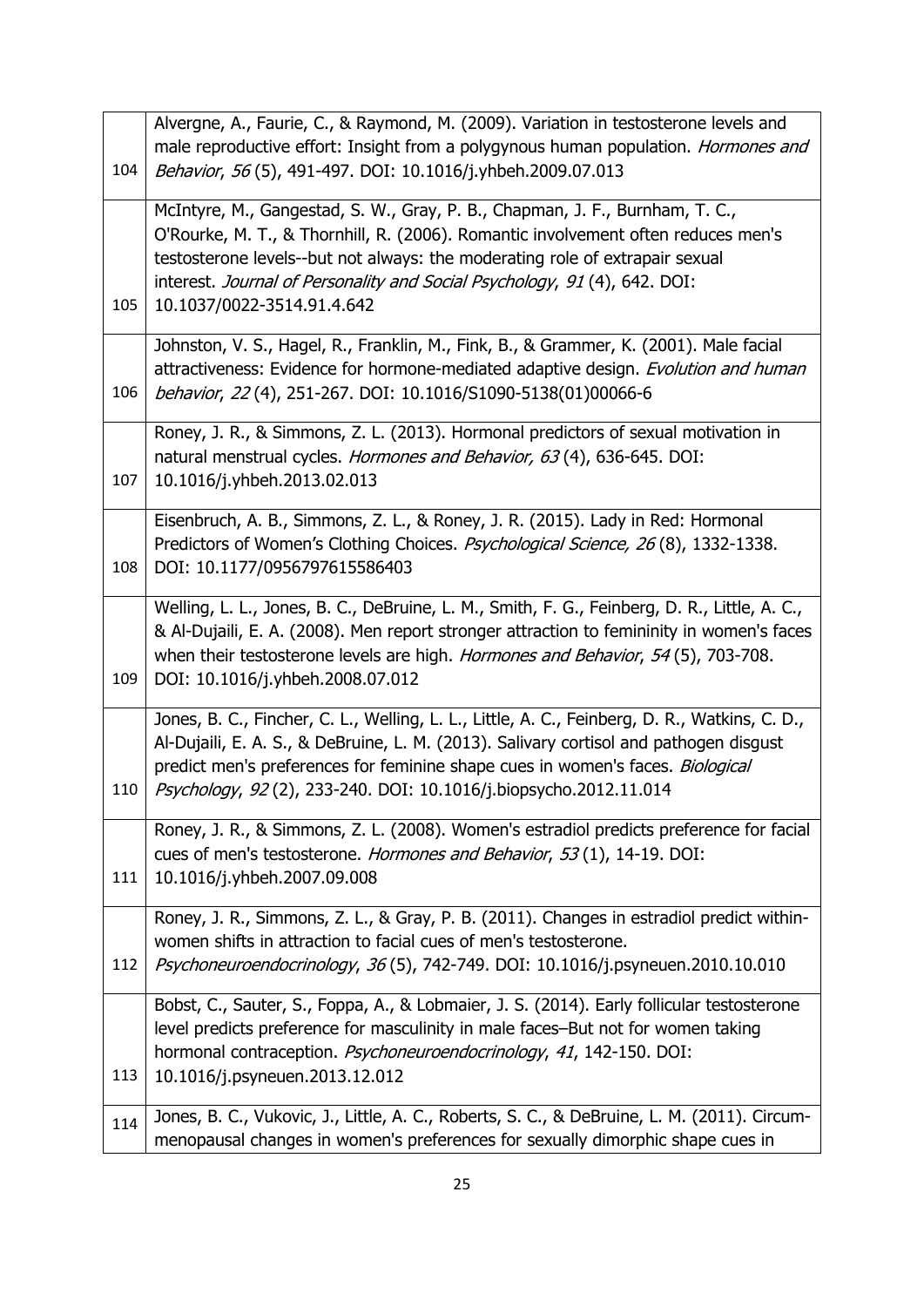|     | Alvergne, A., Faurie, C., & Raymond, M. (2009). Variation in testosterone levels and                                                                                                                                                                                                                                                                         |
|-----|--------------------------------------------------------------------------------------------------------------------------------------------------------------------------------------------------------------------------------------------------------------------------------------------------------------------------------------------------------------|
|     | male reproductive effort: Insight from a polygynous human population. Hormones and                                                                                                                                                                                                                                                                           |
| 104 | Behavior, 56(5), 491-497. DOI: 10.1016/j.yhbeh.2009.07.013                                                                                                                                                                                                                                                                                                   |
| 105 | McIntyre, M., Gangestad, S. W., Gray, P. B., Chapman, J. F., Burnham, T. C.,<br>O'Rourke, M. T., & Thornhill, R. (2006). Romantic involvement often reduces men's<br>testosterone levels--but not always: the moderating role of extrapair sexual<br>interest. Journal of Personality and Social Psychology, 91 (4), 642. DOI:<br>10.1037/0022-3514.91.4.642 |
| 106 | Johnston, V. S., Hagel, R., Franklin, M., Fink, B., & Grammer, K. (2001). Male facial<br>attractiveness: Evidence for hormone-mediated adaptive design. Evolution and human<br>behavior, 22(4), 251-267. DOI: 10.1016/S1090-5138(01)00066-6                                                                                                                  |
| 107 | Roney, J. R., & Simmons, Z. L. (2013). Hormonal predictors of sexual motivation in<br>natural menstrual cycles. Hormones and Behavior, 63(4), 636-645. DOI:<br>10.1016/j.yhbeh.2013.02.013                                                                                                                                                                   |
| 108 | Eisenbruch, A. B., Simmons, Z. L., & Roney, J. R. (2015). Lady in Red: Hormonal<br>Predictors of Women's Clothing Choices. <i>Psychological Science, 26</i> (8), 1332-1338.<br>DOI: 10.1177/0956797615586403                                                                                                                                                 |
| 109 | Welling, L. L., Jones, B. C., DeBruine, L. M., Smith, F. G., Feinberg, D. R., Little, A. C.,<br>& Al-Dujaili, E. A. (2008). Men report stronger attraction to femininity in women's faces<br>when their testosterone levels are high. Hormones and Behavior, 54(5), 703-708.<br>DOI: 10.1016/j.yhbeh.2008.07.012                                             |
| 110 | Jones, B. C., Fincher, C. L., Welling, L. L., Little, A. C., Feinberg, D. R., Watkins, C. D.,<br>Al-Dujaili, E. A. S., & DeBruine, L. M. (2013). Salivary cortisol and pathogen disgust<br>predict men's preferences for feminine shape cues in women's faces. Biological<br>Psychology, 92(2), 233-240. DOI: 10.1016/j.biopsycho.2012.11.014                |
| 111 | Roney, J. R., & Simmons, Z. L. (2008). Women's estradiol predicts preference for facial<br>cues of men's testosterone. Hormones and Behavior, 53(1), 14-19. DOI:<br>10.1016/j.yhbeh.2007.09.008                                                                                                                                                              |
| 112 | Roney, J. R., Simmons, Z. L., & Gray, P. B. (2011). Changes in estradiol predict within-<br>women shifts in attraction to facial cues of men's testosterone.<br>Psychoneuroendocrinology, 36(5), 742-749. DOI: 10.1016/j.psyneuen.2010.10.010                                                                                                                |
| 113 | Bobst, C., Sauter, S., Foppa, A., & Lobmaier, J. S. (2014). Early follicular testosterone<br>level predicts preference for masculinity in male faces-But not for women taking<br>hormonal contraception. Psychoneuroendocrinology, 41, 142-150. DOI:<br>10.1016/j.psyneuen.2013.12.012                                                                       |
| 114 | Jones, B. C., Vukovic, J., Little, A. C., Roberts, S. C., & DeBruine, L. M. (2011). Circum-<br>menopausal changes in women's preferences for sexually dimorphic shape cues in                                                                                                                                                                                |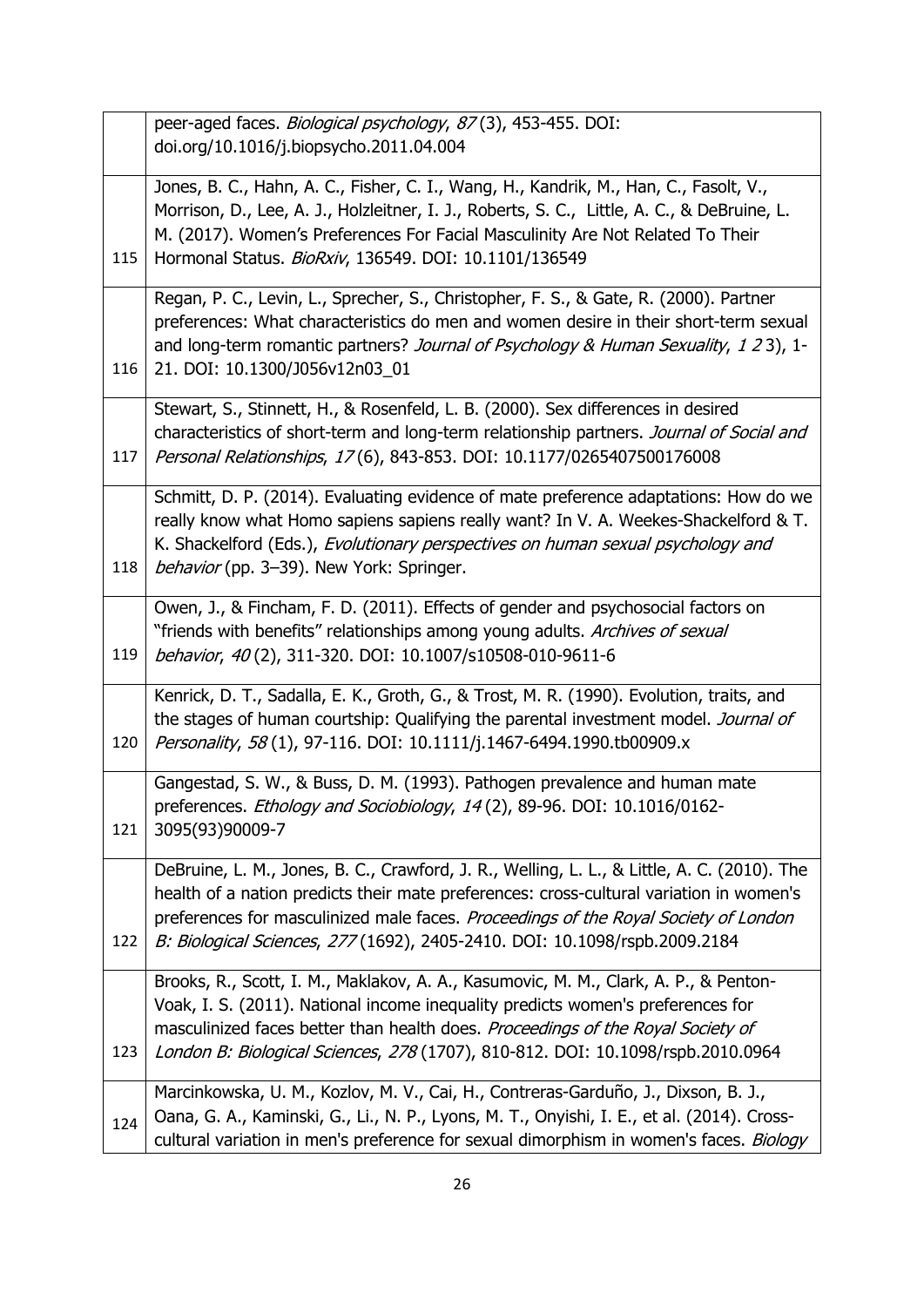|     | peer-aged faces. Biological psychology, 87(3), 453-455. DOI:                                                                                                                                                                                                                                                                                                |
|-----|-------------------------------------------------------------------------------------------------------------------------------------------------------------------------------------------------------------------------------------------------------------------------------------------------------------------------------------------------------------|
|     | doi.org/10.1016/j.biopsycho.2011.04.004                                                                                                                                                                                                                                                                                                                     |
| 115 | Jones, B. C., Hahn, A. C., Fisher, C. I., Wang, H., Kandrik, M., Han, C., Fasolt, V.,<br>Morrison, D., Lee, A. J., Holzleitner, I. J., Roberts, S. C., Little, A. C., & DeBruine, L.<br>M. (2017). Women's Preferences For Facial Masculinity Are Not Related To Their<br>Hormonal Status. BioRxiv, 136549. DOI: 10.1101/136549                             |
| 116 | Regan, P. C., Levin, L., Sprecher, S., Christopher, F. S., & Gate, R. (2000). Partner<br>preferences: What characteristics do men and women desire in their short-term sexual<br>and long-term romantic partners? Journal of Psychology & Human Sexuality, 1 23), 1-<br>21. DOI: 10.1300/J056v12n03_01                                                      |
| 117 | Stewart, S., Stinnett, H., & Rosenfeld, L. B. (2000). Sex differences in desired<br>characteristics of short-term and long-term relationship partners. Journal of Social and<br>Personal Relationships, 17(6), 843-853. DOI: 10.1177/0265407500176008                                                                                                       |
| 118 | Schmitt, D. P. (2014). Evaluating evidence of mate preference adaptations: How do we<br>really know what Homo sapiens sapiens really want? In V. A. Weekes-Shackelford & T.<br>K. Shackelford (Eds.), Evolutionary perspectives on human sexual psychology and<br>behavior (pp. 3-39). New York: Springer.                                                  |
| 119 | Owen, J., & Fincham, F. D. (2011). Effects of gender and psychosocial factors on<br>"friends with benefits" relationships among young adults. Archives of sexual<br>behavior, 40(2), 311-320. DOI: 10.1007/s10508-010-9611-6                                                                                                                                |
| 120 | Kenrick, D. T., Sadalla, E. K., Groth, G., & Trost, M. R. (1990). Evolution, traits, and<br>the stages of human courtship: Qualifying the parental investment model. Journal of<br>Personality, 58(1), 97-116. DOI: 10.1111/j.1467-6494.1990.tb00909.x                                                                                                      |
| 121 | Gangestad, S. W., & Buss, D. M. (1993). Pathogen prevalence and human mate<br>preferences. Ethology and Sociobiology, 14(2), 89-96. DOI: 10.1016/0162-<br>3095(93)90009-7                                                                                                                                                                                   |
| 122 | DeBruine, L. M., Jones, B. C., Crawford, J. R., Welling, L. L., & Little, A. C. (2010). The<br>health of a nation predicts their mate preferences: cross-cultural variation in women's<br>preferences for masculinized male faces. Proceedings of the Royal Society of London<br>B: Biological Sciences, 277 (1692), 2405-2410. DOI: 10.1098/rspb.2009.2184 |
| 123 | Brooks, R., Scott, I. M., Maklakov, A. A., Kasumovic, M. M., Clark, A. P., & Penton-<br>Voak, I. S. (2011). National income inequality predicts women's preferences for<br>masculinized faces better than health does. Proceedings of the Royal Society of<br>London B: Biological Sciences, 278 (1707), 810-812. DOI: 10.1098/rspb.2010.0964               |
| 124 | Marcinkowska, U. M., Kozlov, M. V., Cai, H., Contreras-Garduño, J., Dixson, B. J.,<br>Oana, G. A., Kaminski, G., Li., N. P., Lyons, M. T., Onyishi, I. E., et al. (2014). Cross-<br>cultural variation in men's preference for sexual dimorphism in women's faces. Biology                                                                                  |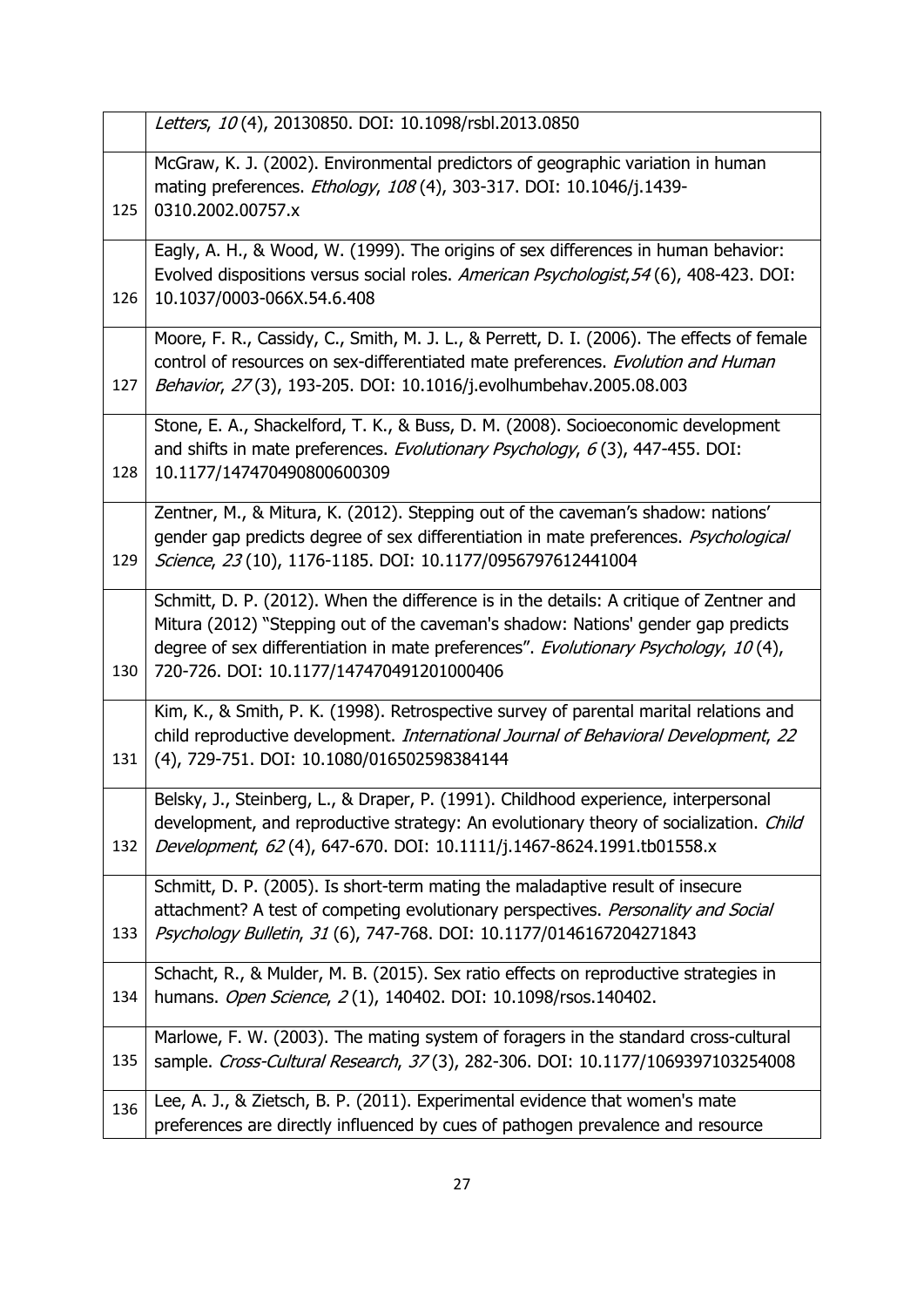|     | Letters, 10(4), 20130850. DOI: 10.1098/rsbl.2013.0850                                                                                                                                                                                                                                                           |
|-----|-----------------------------------------------------------------------------------------------------------------------------------------------------------------------------------------------------------------------------------------------------------------------------------------------------------------|
| 125 | McGraw, K. J. (2002). Environmental predictors of geographic variation in human<br>mating preferences. Ethology, 108(4), 303-317. DOI: 10.1046/j.1439-<br>0310.2002.00757.x                                                                                                                                     |
| 126 | Eagly, A. H., & Wood, W. (1999). The origins of sex differences in human behavior:<br>Evolved dispositions versus social roles. American Psychologist, 54 (6), 408-423. DOI:<br>10.1037/0003-066X.54.6.408                                                                                                      |
| 127 | Moore, F. R., Cassidy, C., Smith, M. J. L., & Perrett, D. I. (2006). The effects of female<br>control of resources on sex-differentiated mate preferences. Evolution and Human<br>Behavior, 27(3), 193-205. DOI: 10.1016/j.evolhumbehav.2005.08.003                                                             |
| 128 | Stone, E. A., Shackelford, T. K., & Buss, D. M. (2008). Socioeconomic development<br>and shifts in mate preferences. Evolutionary Psychology, 6(3), 447-455. DOI:<br>10.1177/147470490800600309                                                                                                                 |
| 129 | Zentner, M., & Mitura, K. (2012). Stepping out of the caveman's shadow: nations'<br>gender gap predicts degree of sex differentiation in mate preferences. Psychological<br>Science, 23 (10), 1176-1185. DOI: 10.1177/0956797612441004                                                                          |
| 130 | Schmitt, D. P. (2012). When the difference is in the details: A critique of Zentner and<br>Mitura (2012) "Stepping out of the caveman's shadow: Nations' gender gap predicts<br>degree of sex differentiation in mate preferences". Evolutionary Psychology, 10(4),<br>720-726. DOI: 10.1177/147470491201000406 |
| 131 | Kim, K., & Smith, P. K. (1998). Retrospective survey of parental marital relations and<br>child reproductive development. International Journal of Behavioral Development, 22<br>(4), 729-751. DOI: 10.1080/016502598384144                                                                                     |
| 132 | Belsky, J., Steinberg, L., & Draper, P. (1991). Childhood experience, interpersonal<br>development, and reproductive strategy: An evolutionary theory of socialization. Child<br>Development, 62(4), 647-670. DOI: 10.1111/j.1467-8624.1991.tb01558.x                                                           |
| 133 | Schmitt, D. P. (2005). Is short-term mating the maladaptive result of insecure<br>attachment? A test of competing evolutionary perspectives. Personality and Social<br>Psychology Bulletin, 31 (6), 747-768. DOI: 10.1177/0146167204271843                                                                      |
| 134 | Schacht, R., & Mulder, M. B. (2015). Sex ratio effects on reproductive strategies in<br>humans. Open Science, 2(1), 140402. DOI: 10.1098/rsos.140402.                                                                                                                                                           |
| 135 | Marlowe, F. W. (2003). The mating system of foragers in the standard cross-cultural<br>sample. Cross-Cultural Research, 37(3), 282-306. DOI: 10.1177/1069397103254008                                                                                                                                           |
| 136 | Lee, A. J., & Zietsch, B. P. (2011). Experimental evidence that women's mate<br>preferences are directly influenced by cues of pathogen prevalence and resource                                                                                                                                                 |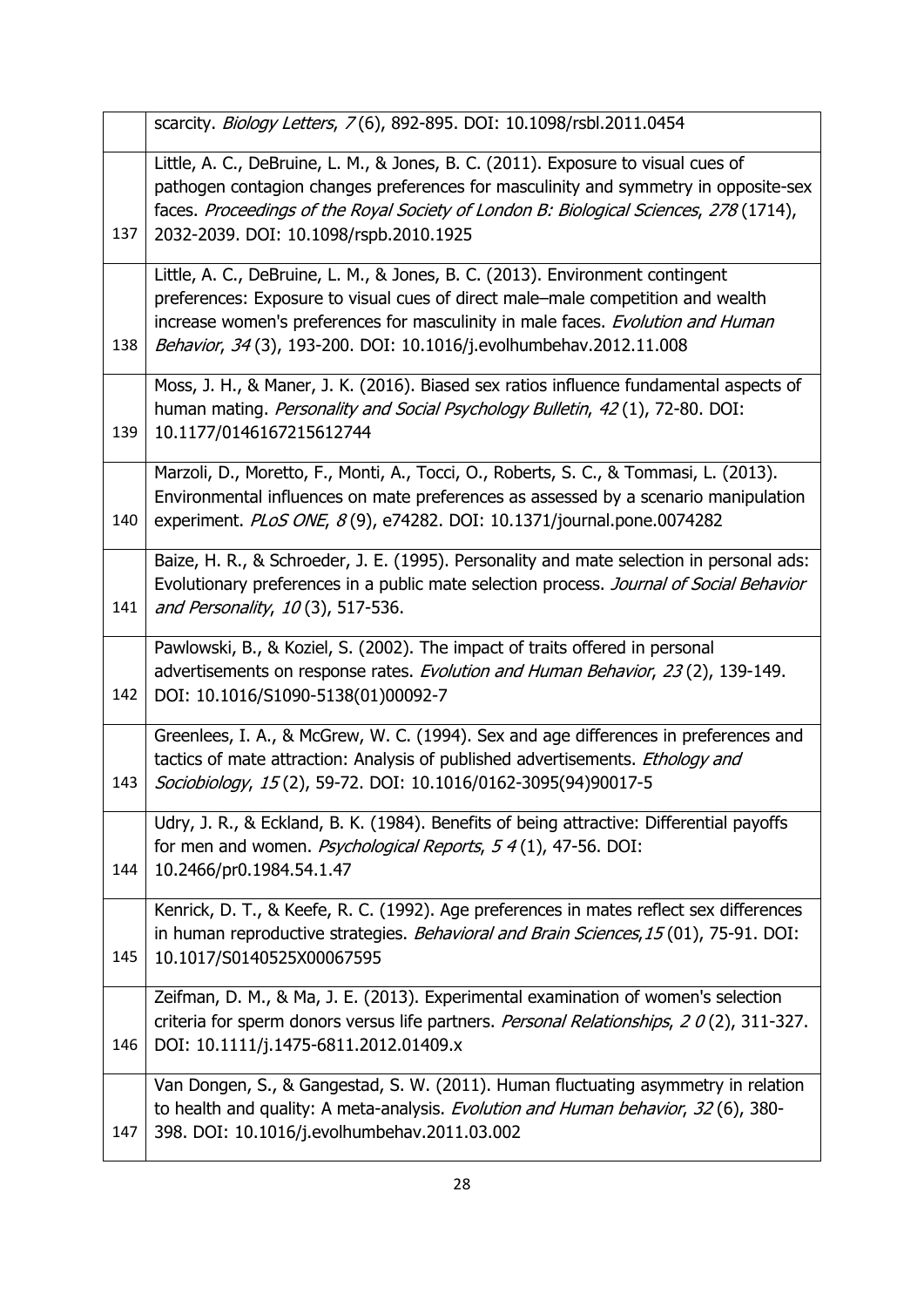|     | scarcity. Biology Letters, 7(6), 892-895. DOI: 10.1098/rsbl.2011.0454                                                                                                                                                                                                                                                    |
|-----|--------------------------------------------------------------------------------------------------------------------------------------------------------------------------------------------------------------------------------------------------------------------------------------------------------------------------|
| 137 | Little, A. C., DeBruine, L. M., & Jones, B. C. (2011). Exposure to visual cues of<br>pathogen contagion changes preferences for masculinity and symmetry in opposite-sex<br>faces. Proceedings of the Royal Society of London B: Biological Sciences, 278 (1714),<br>2032-2039. DOI: 10.1098/rspb.2010.1925              |
| 138 | Little, A. C., DeBruine, L. M., & Jones, B. C. (2013). Environment contingent<br>preferences: Exposure to visual cues of direct male-male competition and wealth<br>increase women's preferences for masculinity in male faces. Evolution and Human<br>Behavior, 34(3), 193-200. DOI: 10.1016/j.evolhumbehav.2012.11.008 |
| 139 | Moss, J. H., & Maner, J. K. (2016). Biased sex ratios influence fundamental aspects of<br>human mating. Personality and Social Psychology Bulletin, 42(1), 72-80. DOI:<br>10.1177/0146167215612744                                                                                                                       |
| 140 | Marzoli, D., Moretto, F., Monti, A., Tocci, O., Roberts, S. C., & Tommasi, L. (2013).<br>Environmental influences on mate preferences as assessed by a scenario manipulation<br>experiment. PLoS ONE, 8(9), e74282. DOI: 10.1371/journal.pone.0074282                                                                    |
| 141 | Baize, H. R., & Schroeder, J. E. (1995). Personality and mate selection in personal ads:<br>Evolutionary preferences in a public mate selection process. Journal of Social Behavior<br>and Personality, 10(3), 517-536.                                                                                                  |
| 142 | Pawlowski, B., & Koziel, S. (2002). The impact of traits offered in personal<br>advertisements on response rates. Evolution and Human Behavior, 23(2), 139-149.<br>DOI: 10.1016/S1090-5138(01)00092-7                                                                                                                    |
| 143 | Greenlees, I. A., & McGrew, W. C. (1994). Sex and age differences in preferences and<br>tactics of mate attraction: Analysis of published advertisements. Ethology and<br>Sociobiology, 15(2), 59-72. DOI: 10.1016/0162-3095(94)90017-5                                                                                  |
| 144 | Udry, J. R., & Eckland, B. K. (1984). Benefits of being attractive: Differential payoffs<br>for men and women. <i>Psychological Reports</i> , 5 4(1), 47-56. DOI:<br>10.2466/pr0.1984.54.1.47                                                                                                                            |
| 145 | Kenrick, D. T., & Keefe, R. C. (1992). Age preferences in mates reflect sex differences<br>in human reproductive strategies. Behavioral and Brain Sciences, 15 (01), 75-91. DOI:<br>10.1017/S0140525X00067595                                                                                                            |
| 146 | Zeifman, D. M., & Ma, J. E. (2013). Experimental examination of women's selection<br>criteria for sperm donors versus life partners. Personal Relationships, 20(2), 311-327.<br>DOI: 10.1111/j.1475-6811.2012.01409.x                                                                                                    |
| 147 | Van Dongen, S., & Gangestad, S. W. (2011). Human fluctuating asymmetry in relation<br>to health and quality: A meta-analysis. Evolution and Human behavior, 32 (6), 380-<br>398. DOI: 10.1016/j.evolhumbehav.2011.03.002                                                                                                 |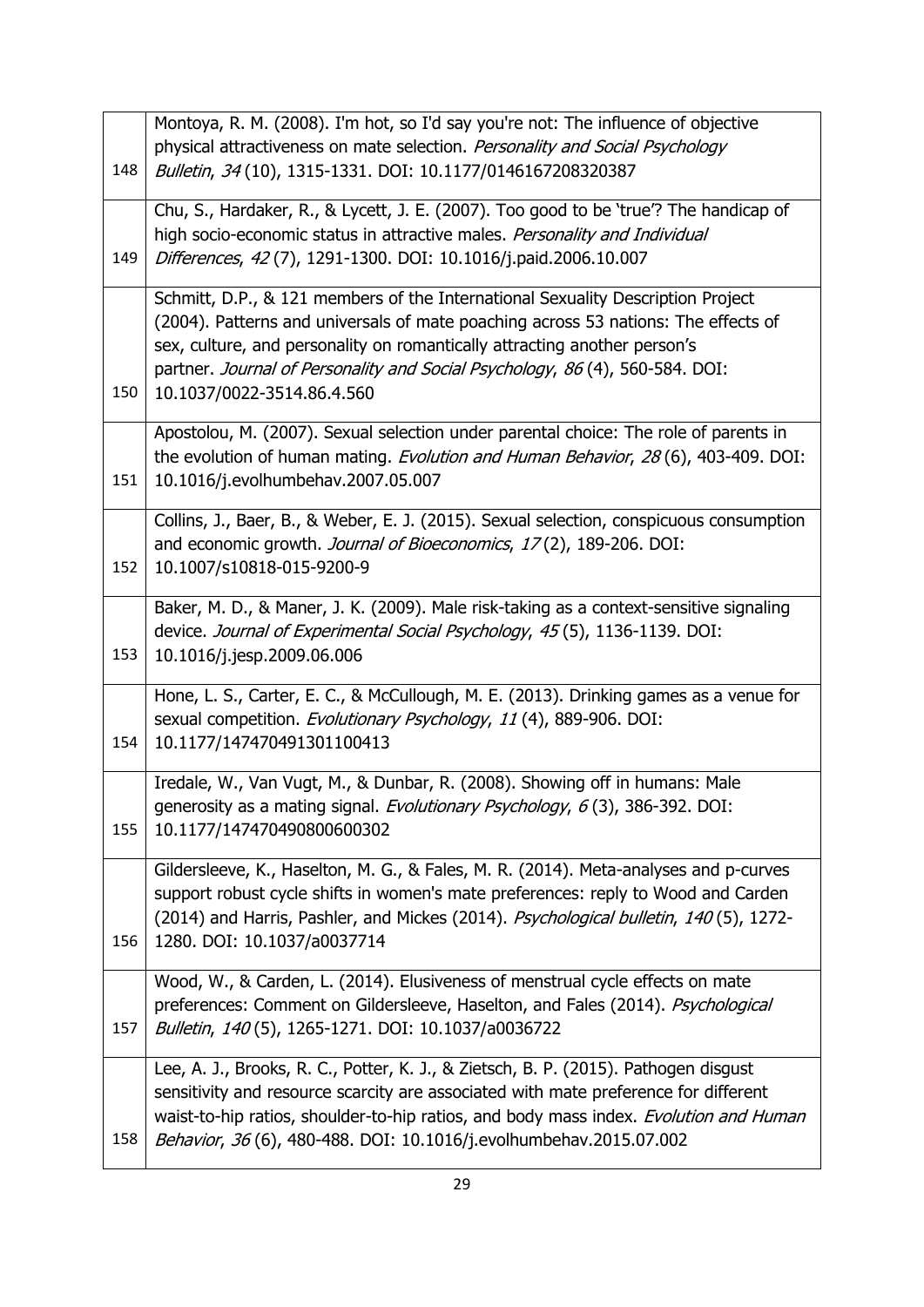|     | Montoya, R. M. (2008). I'm hot, so I'd say you're not: The influence of objective       |
|-----|-----------------------------------------------------------------------------------------|
|     | physical attractiveness on mate selection. Personality and Social Psychology            |
| 148 | Bulletin, 34(10), 1315-1331. DOI: 10.1177/0146167208320387                              |
|     |                                                                                         |
|     | Chu, S., Hardaker, R., & Lycett, J. E. (2007). Too good to be 'true'? The handicap of   |
|     | high socio-economic status in attractive males. Personality and Individual              |
| 149 | Differences, 42(7), 1291-1300. DOI: 10.1016/j.paid.2006.10.007                          |
|     | Schmitt, D.P., & 121 members of the International Sexuality Description Project         |
|     | (2004). Patterns and universals of mate poaching across 53 nations: The effects of      |
|     | sex, culture, and personality on romantically attracting another person's               |
|     | partner. Journal of Personality and Social Psychology, 86(4), 560-584. DOI:             |
| 150 | 10.1037/0022-3514.86.4.560                                                              |
|     |                                                                                         |
|     | Apostolou, M. (2007). Sexual selection under parental choice: The role of parents in    |
|     | the evolution of human mating. Evolution and Human Behavior, 28 (6), 403-409. DOI:      |
| 151 | 10.1016/j.evolhumbehav.2007.05.007                                                      |
|     |                                                                                         |
|     | Collins, J., Baer, B., & Weber, E. J. (2015). Sexual selection, conspicuous consumption |
|     | and economic growth. Journal of Bioeconomics, 17(2), 189-206. DOI:                      |
| 152 | 10.1007/s10818-015-9200-9                                                               |
|     | Baker, M. D., & Maner, J. K. (2009). Male risk-taking as a context-sensitive signaling  |
|     | device. Journal of Experimental Social Psychology, 45(5), 1136-1139. DOI:               |
| 153 | 10.1016/j.jesp.2009.06.006                                                              |
|     |                                                                                         |
|     | Hone, L. S., Carter, E. C., & McCullough, M. E. (2013). Drinking games as a venue for   |
|     | sexual competition. Evolutionary Psychology, 11(4), 889-906. DOI:                       |
| 154 | 10.1177/147470491301100413                                                              |
|     |                                                                                         |
|     | Iredale, W., Van Vugt, M., & Dunbar, R. (2008). Showing off in humans: Male             |
|     | generosity as a mating signal. Evolutionary Psychology, 6(3), 386-392. DOI:             |
| 155 | 10.1177/147470490800600302                                                              |
|     | Gildersleeve, K., Haselton, M. G., & Fales, M. R. (2014). Meta-analyses and p-curves    |
|     | support robust cycle shifts in women's mate preferences: reply to Wood and Carden       |
|     | (2014) and Harris, Pashler, and Mickes (2014). Psychological bulletin, 140(5), 1272-    |
| 156 | 1280. DOI: 10.1037/a0037714                                                             |
|     |                                                                                         |
|     | Wood, W., & Carden, L. (2014). Elusiveness of menstrual cycle effects on mate           |
|     | preferences: Comment on Gildersleeve, Haselton, and Fales (2014). Psychological         |
| 157 | Bulletin, 140(5), 1265-1271. DOI: 10.1037/a0036722                                      |
|     |                                                                                         |
|     | Lee, A. J., Brooks, R. C., Potter, K. J., & Zietsch, B. P. (2015). Pathogen disgust     |
|     | sensitivity and resource scarcity are associated with mate preference for different     |
|     | waist-to-hip ratios, shoulder-to-hip ratios, and body mass index. Evolution and Human   |
| 158 | Behavior, 36(6), 480-488. DOI: 10.1016/j.evolhumbehav.2015.07.002                       |